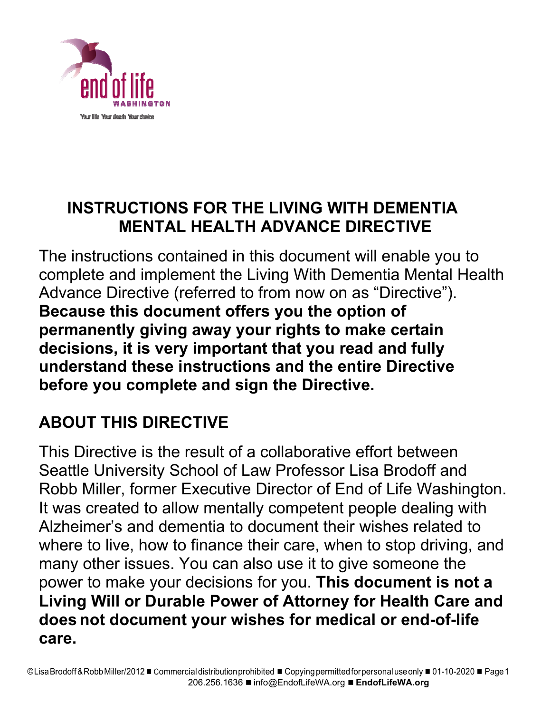

# **INSTRUCTIONS FOR THE LIVING WITH DEMENTIA MENTAL HEALTH ADVANCE DIRECTIVE**

The instructions contained in this document will enable you to complete and implement the Living With Dementia Mental Health Advance Directive (referred to from now on as "Directive"). **Because this document offers you the option of permanently giving away your rights to make certain decisions, it is very important that you read and fully understand these instructions and the entire Directive before you complete and sign the Directive.**

# **ABOUT THIS DIRECTIVE**

This Directive is the result of a collaborative effort between Seattle University School of Law Professor Lisa Brodoff and Robb Miller, former Executive Director of End of Life Washington. It was created to allow mentally competent people dealing with Alzheimer's and dementia to document their wishes related to where to live, how to finance their care, when to stop driving, and many other issues. You can also use it to give someone the power to make your decisions for you. **This document is not a Living Will or Durable Power of Attorney for Health Care and does not document your wishes for medical or end-of-life care.**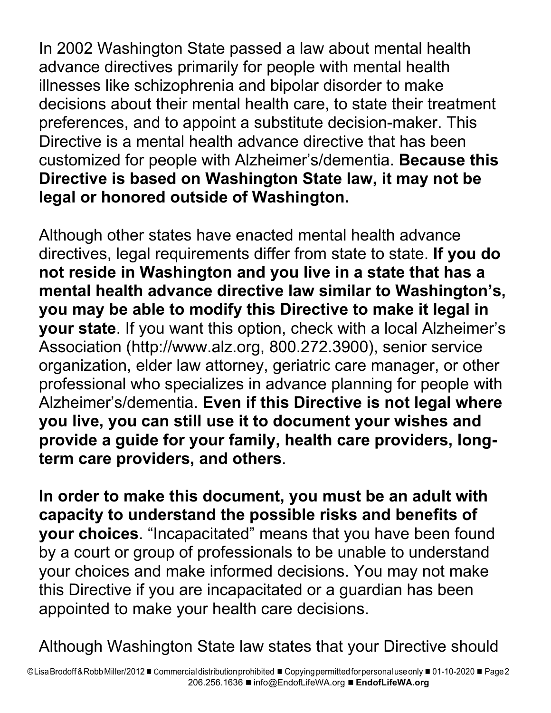In 2002 Washington State passed a law about mental health advance directives primarily for people with mental health illnesses like schizophrenia and bipolar disorder to make decisions about their mental health care, to state their treatment preferences, and to appoint a substitute decision-maker. This Directive is a mental health advance directive that has been customized for people with Alzheimer's/dementia. **Because this Directive is based on Washington State law, it may not be legal or honored outside of Washington.**

Although other states have enacted mental health advance directives, legal requirements differ from state to state. **If you do not reside in Washington and you live in a state that has a mental health advance directive law similar to Washington's, you may be able to modify this Directive to make it legal in your state**. If you want this option, check with a local Alzheimer's Association [\(http://www.alz.org, 8](http://www.alz.org/)00.272.3900), senior service organization, elder law attorney, geriatric care manager, or other professional who specializes in advance planning for people with Alzheimer's/dementia. **Even if this Directive is not legal where you live, you can still use it to document your wishes and provide a guide for your family, health care providers, longterm care providers, and others**.

**In order to make this document, you must be an adult with capacity to understand the possible risks and benefits of your choices**. "Incapacitated" means that you have been found by a court or group of professionals to be unable to understand your choices and make informed decisions. You may not make this Directive if you are incapacitated or a guardian has been appointed to make your health care decisions.

Although Washington State law states that your Directive should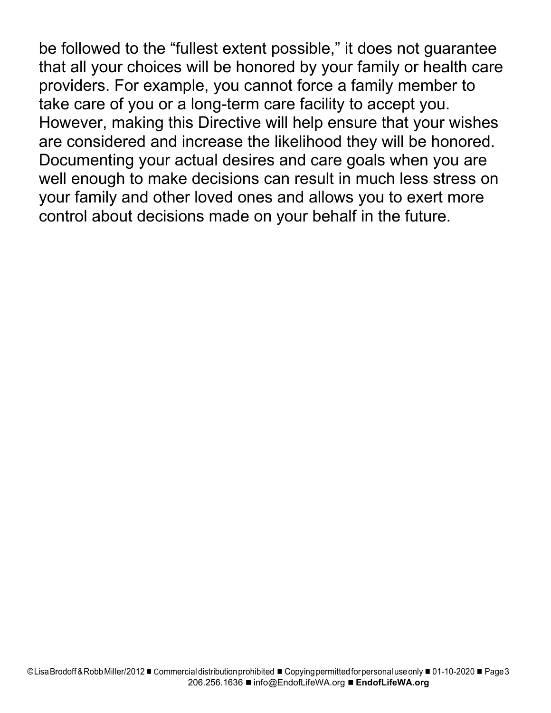be followed to the "fullest extent possible," it does not guarantee that all your choices will be honored by your family or health care providers. For example, you cannot force a family member to take care of you or a long-term care facility to accept you. However, making this Directive will help ensure that your wishes are considered and increase the likelihood they will be honored. Documenting your actual desires and care goals when you are well enough to make decisions can result in much less stress on your family and other loved ones and allows you to exert more control about decisions made on your behalf in the future.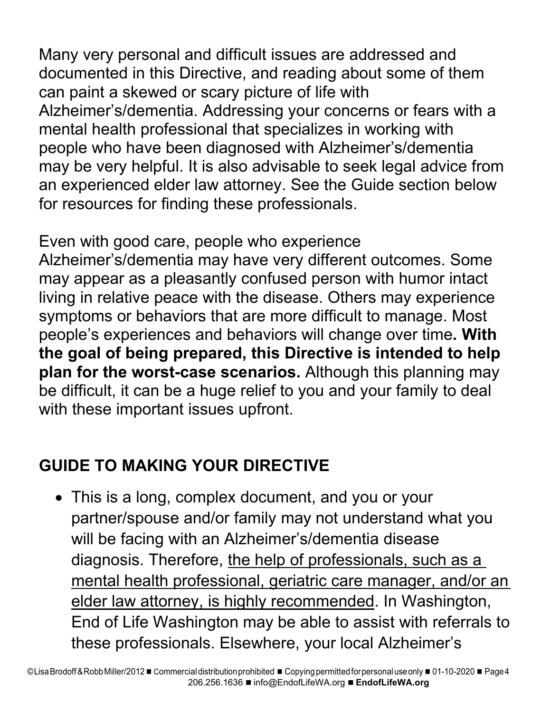Many very personal and difficult issues are addressed and documented in this Directive, and reading about some of them can paint a skewed or scary picture of life with Alzheimer's/dementia. Addressing your concerns or fears with a mental health professional that specializes in working with people who have been diagnosed with Alzheimer's/dementia may be very helpful. It is also advisable to seek legal advice from an experienced elder law attorney. See the Guide section below for resources for finding these professionals.

Even with good care, people who experience Alzheimer's/dementia may have very different outcomes. Some may appear as a pleasantly confused person with humor intact living in relative peace with the disease. Others may experience symptoms or behaviors that are more difficult to manage. Most people's experiences and behaviors will change over time**. With the goal of being prepared, this Directive is intended to help plan for the worst-case scenarios.** Although this planning may be difficult, it can be a huge relief to you and your family to deal with these important issues upfront.

# **GUIDE TO MAKING YOUR DIRECTIVE**

• This is a long, complex document, and you or your partner/spouse and/or family may not understand what you will be facing with an Alzheimer's/dementia disease diagnosis. Therefore, the help of professionals, such as a mental health professional, geriatric care manager, and/or an elder law attorney, is highly recommended. In Washington, End of Life Washington may be able to assist with referrals to these professionals. Elsewhere, your local Alzheimer's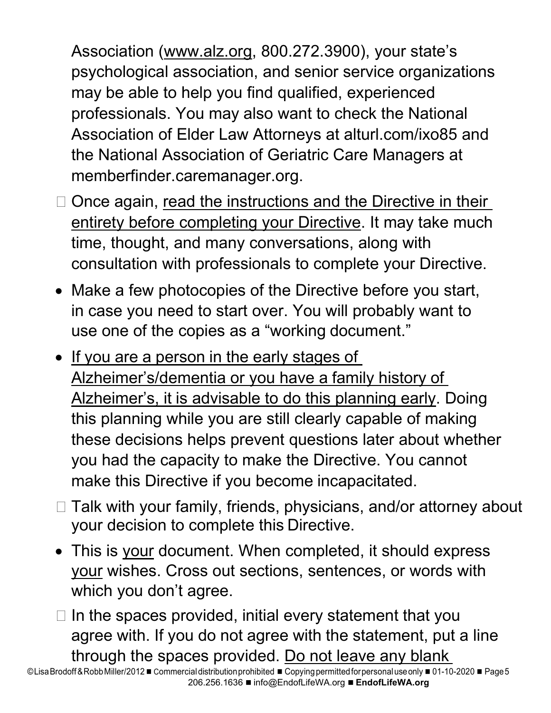Association [\(www.alz.org, 8](http://www.alz.org/)00.272.3900), your state's psychological association, and senior service organizations may be able to help you find qualified, experienced professionals. You may also want to check the National Association of Elder Law Attorneys at alturl.com/ixo85 and the National Association of Geriatric Care Managers at memberfinder.caremanager.org.

- $\Box$  Once again, read the instructions and the Directive in their entirety before completing your Directive. It may take much time, thought, and many conversations, along with consultation with professionals to complete your Directive.
- Make a few photocopies of the Directive before you start, in case you need to start over. You will probably want to use one of the copies as a "working document."
- If you are a person in the early stages of Alzheimer's/dementia or you have a family history of Alzheimer's, it is advisable to do this planning early. Doing this planning while you are still clearly capable of making these decisions helps prevent questions later about whether you had the capacity to make the Directive. You cannot make this Directive if you become incapacitated.
- □ Talk with your family, friends, physicians, and/or attorney about your decision to complete this Directive.
- This is your document. When completed, it should express your wishes. Cross out sections, sentences, or words with which you don't agree.
- $\Box$  In the spaces provided, initial every statement that you agree with. If you do not agree with the statement, put a line through the spaces provided. Do not leave any blank

©LisaBrodoff&RobbMiller/2012 Commercial distribution prohibited ■ Copying permitted for personal use only ■ 01-10-2020 ■ Page 5 206.256.1636 **■** [info@EndofLifeWA.org](mailto:info@EndofLifeWA.org) ■ EndofLifeWA.org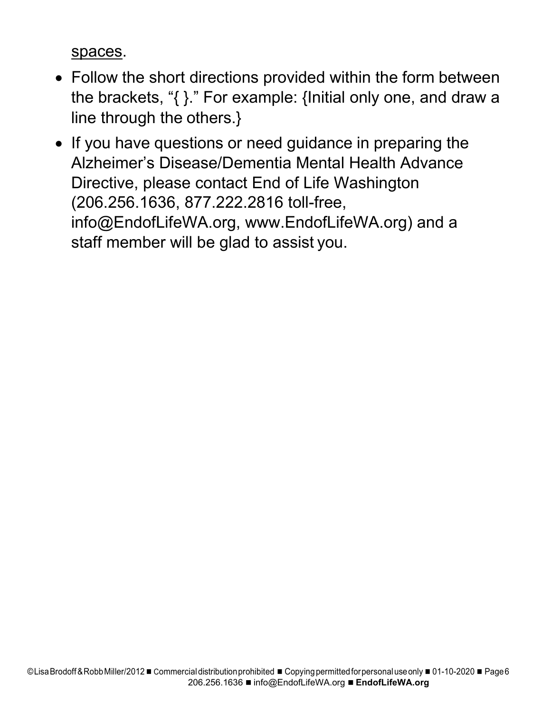spaces.

- Follow the short directions provided within the form between the brackets, "{ }." For example: {Initial only one, and draw a line through the others.}
- If you have questions or need guidance in preparing the Alzheimer's Disease/Dementia Mental Health Advance Directive, please contact End of Life Washington (206.256.1636, 877.222.2816 toll-free[,](mailto:info@EndofLifeWA.org) [info@EndofLifeWA.org, w](mailto:info@EndofLifeWA.org)ww.EndofLifeWA.org) and a staff member will be glad to assist you.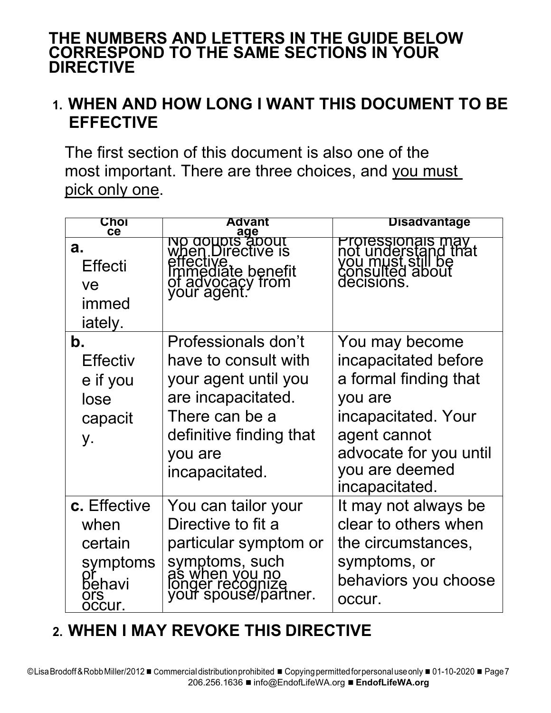#### **THE NUMBERS AND LETTERS IN THE GUIDE BELOW CORRESPOND TO THE SAME SECTIONS IN YOUR DIRECTIVE**

#### **1. WHEN AND HOW LONG I WANT THIS DOCUMENT TO BE EFFECTIVE**

The first section of this document is also one of the most important. There are three choices, and you must pick only one.

| Chol<br>ce                                                             | Advant<br>age                                                                                                                                                       | <b>Disadvantage</b>                                                                                                                                                             |
|------------------------------------------------------------------------|---------------------------------------------------------------------------------------------------------------------------------------------------------------------|---------------------------------------------------------------------------------------------------------------------------------------------------------------------------------|
| a.<br><b>Effecti</b><br>ve<br>immed<br><i>iately.</i>                  | <u>aoupts apout</u><br>when Directive is<br>effective<br>Immediate benefit<br>of advocacy from<br>your agent.                                                       | Proīessionais may<br>not underständ that<br>you must still be<br>gonsulted about<br>lecisions.                                                                                  |
| $\mathbf b$ .<br>Effectiv<br>e if you<br>lose<br>capacit<br>у.         | Professionals don't<br>have to consult with<br>your agent until you<br>are incapacitated.<br>There can be a<br>definitive finding that<br>you are<br>incapacitated. | You may become<br>incapacitated before<br>a formal finding that<br>you are<br>incapacitated. Your<br>agent cannot<br>advocate for you until<br>you are deemed<br>incapacitated. |
| c. Effective<br>when<br>certain<br>symptoms<br>behavi<br>ors<br>occur. | You can tailor your<br>Directive to fit a<br>particular symptom or<br>symptoms, such<br>as when you no<br>longer recognize<br>your spouse/partner.                  | It may not always be<br>clear to others when<br>the circumstances,<br>symptoms, or<br>behaviors you choose<br>occur.                                                            |

# **2. WHEN I MAY REVOKE THIS DIRECTIVE**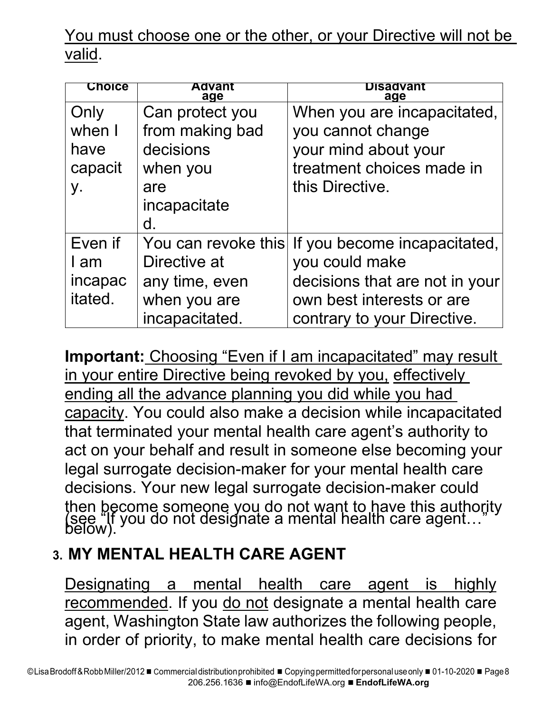You must choose one or the other, or your Directive will not be valid.

| <b>Choice</b> | Advant<br>age       | Disadvant<br>age               |
|---------------|---------------------|--------------------------------|
| Only          | Can protect you     | When you are incapacitated,    |
| when I        | from making bad     | you cannot change              |
| have          | decisions           | your mind about your           |
| capacit       | when you            | treatment choices made in      |
| у.            | are                 | this Directive.                |
|               | incapacitate        |                                |
|               | d.                  |                                |
| Even if       | You can revoke this | If you become incapacitated,   |
| l am          | Directive at        | you could make                 |
| incapac       | any time, even      | decisions that are not in your |
| itated.       | when you are        | own best interests or are      |
|               | incapacitated.      | contrary to your Directive.    |

**Important:** Choosing "Even if I am incapacitated" may result in your entire Directive being revoked by you, effectively ending all the advance planning you did while you had capacity. You could also make a decision while incapacitated that terminated your mental health care agent's authority to act on your behalf and result in someone else becoming your legal surrogate decision-maker for your mental health care decisions. Your new legal surrogate decision-maker could then become someone you do not want to have this authority (see "If you do not designate a mental health care agent..."<br>below).

# **3. MY MENTAL HEALTH CARE AGENT**

Designating a mental health care agent is highly recommended. If you do not designate a mental health care agent, Washington State law authorizes the following people, in order of priority, to make mental health care decisions for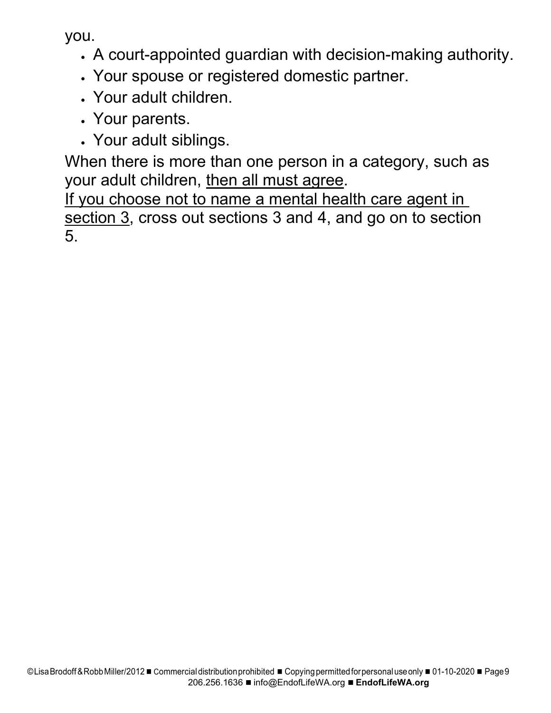you.

- A court-appointed guardian with decision-making authority.
- Your spouse or registered domestic partner.
- Your adult children.
- Your parents.
- Your adult siblings.

When there is more than one person in a category, such as your adult children, then all must agree.

If you choose not to name a mental health care agent in section 3, cross out sections 3 and 4, and go on to section 5.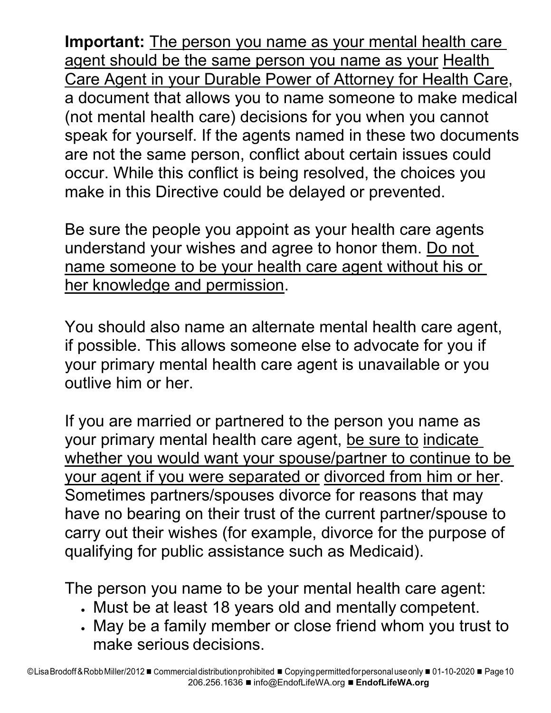**Important:** The person you name as your mental health care agent should be the same person you name as your Health Care Agent in your Durable Power of Attorney for Health Care, a document that allows you to name someone to make medical (not mental health care) decisions for you when you cannot speak for yourself. If the agents named in these two documents are not the same person, conflict about certain issues could occur. While this conflict is being resolved, the choices you make in this Directive could be delayed or prevented.

Be sure the people you appoint as your health care agents understand your wishes and agree to honor them. Do not name someone to be your health care agent without his or her knowledge and permission.

You should also name an alternate mental health care agent, if possible. This allows someone else to advocate for you if your primary mental health care agent is unavailable or you outlive him or her.

If you are married or partnered to the person you name as your primary mental health care agent, be sure to indicate whether you would want your spouse/partner to continue to be your agent if you were separated or divorced from him or her. Sometimes partners/spouses divorce for reasons that may have no bearing on their trust of the current partner/spouse to carry out their wishes (for example, divorce for the purpose of qualifying for public assistance such as Medicaid).

The person you name to be your mental health care agent:

- Must be at least 18 years old and mentally competent.
- May be a family member or close friend whom you trust to make serious decisions.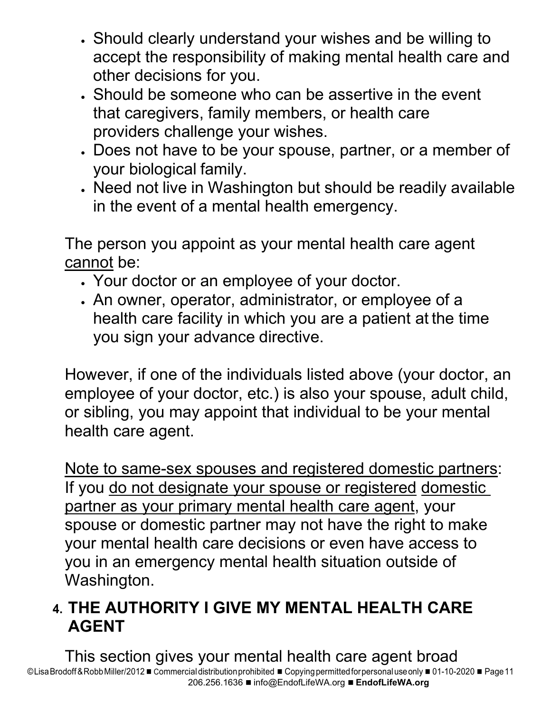- Should clearly understand your wishes and be willing to accept the responsibility of making mental health care and other decisions for you.
- Should be someone who can be assertive in the event that caregivers, family members, or health care providers challenge your wishes.
- Does not have to be your spouse, partner, or a member of your biological family.
- Need not live in Washington but should be readily available in the event of a mental health emergency.

The person you appoint as your mental health care agent cannot be:

- Your doctor or an employee of your doctor.
- An owner, operator, administrator, or employee of a health care facility in which you are a patient at the time you sign your advance directive.

However, if one of the individuals listed above (your doctor, an employee of your doctor, etc.) is also your spouse, adult child, or sibling, you may appoint that individual to be your mental health care agent.

Note to same-sex spouses and registered domestic partners: If you do not designate your spouse or registered domestic partner as your primary mental health care agent, your spouse or domestic partner may not have the right to make your mental health care decisions or even have access to you in an emergency mental health situation outside of Washington.

# **4. THE AUTHORITY I GIVE MY MENTAL HEALTH CARE AGENT**

©LisaBrodoff&RobbMiller/2012 Commercial distribution prohibited ■ Copying permitted for personal use only ■ 01-10-2020 ■ Page 11 206.256.1636 **■** [info@EndofLifeWA.org](mailto:info@EndofLifeWA.org) ■ EndofLifeWA.org This section gives your mental health care agent broad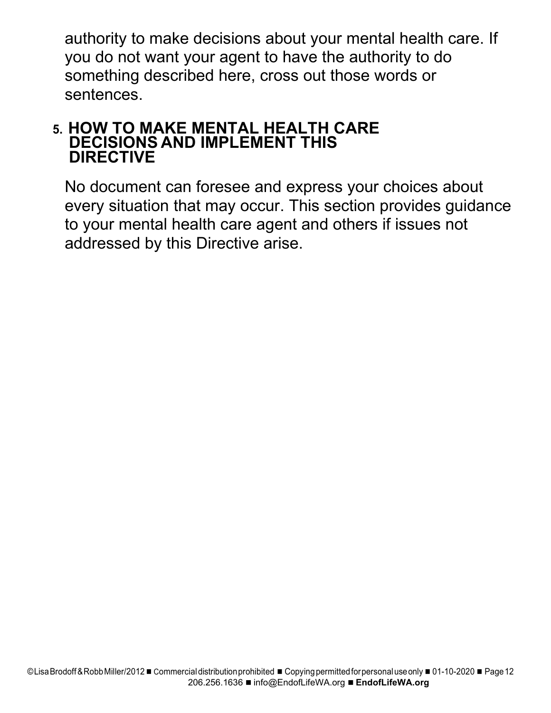authority to make decisions about your mental health care. If you do not want your agent to have the authority to do something described here, cross out those words or sentences.

#### **5. HOW TO MAKE MENTAL HEALTH CARE DECISIONS AND IMPLEMENT THIS DIRECTIVE**

No document can foresee and express your choices about every situation that may occur. This section provides guidance to your mental health care agent and others if issues not addressed by this Directive arise.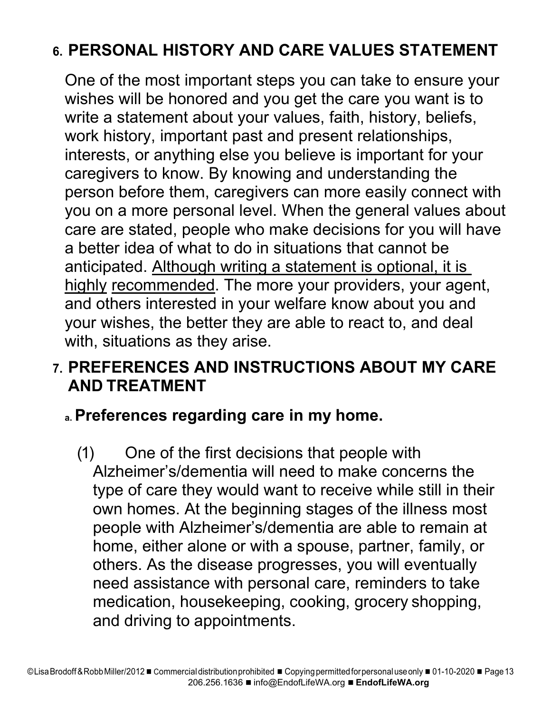# **6. PERSONAL HISTORY AND CARE VALUES STATEMENT**

One of the most important steps you can take to ensure your wishes will be honored and you get the care you want is to write a statement about your values, faith, history, beliefs, work history, important past and present relationships, interests, or anything else you believe is important for your caregivers to know. By knowing and understanding the person before them, caregivers can more easily connect with you on a more personal level. When the general values about care are stated, people who make decisions for you will have a better idea of what to do in situations that cannot be anticipated. Although writing a statement is optional, it is highly recommended. The more your providers, your agent, and others interested in your welfare know about you and your wishes, the better they are able to react to, and deal with, situations as they arise.

# **7. PREFERENCES AND INSTRUCTIONS ABOUT MY CARE AND TREATMENT**

#### **a.Preferences regarding care in my home.**

(1) One of the first decisions that people with Alzheimer's/dementia will need to make concerns the type of care they would want to receive while still in their own homes. At the beginning stages of the illness most people with Alzheimer's/dementia are able to remain at home, either alone or with a spouse, partner, family, or others. As the disease progresses, you will eventually need assistance with personal care, reminders to take medication, housekeeping, cooking, grocery shopping, and driving to appointments.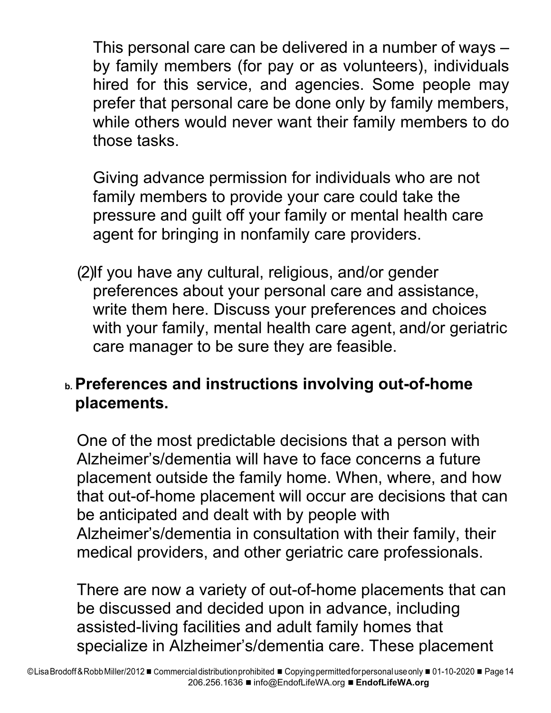This personal care can be delivered in a number of ways – by family members (for pay or as volunteers), individuals hired for this service, and agencies. Some people may prefer that personal care be done only by family members, while others would never want their family members to do those tasks.

Giving advance permission for individuals who are not family members to provide your care could take the pressure and guilt off your family or mental health care agent for bringing in nonfamily care providers.

(2)If you have any cultural, religious, and/or gender preferences about your personal care and assistance, write them here. Discuss your preferences and choices with your family, mental health care agent, and/or geriatric care manager to be sure they are feasible.

# **b.Preferences and instructions involving out-of-home placements.**

One of the most predictable decisions that a person with Alzheimer's/dementia will have to face concerns a future placement outside the family home. When, where, and how that out-of-home placement will occur are decisions that can be anticipated and dealt with by people with Alzheimer's/dementia in consultation with their family, their medical providers, and other geriatric care professionals.

There are now a variety of out-of-home placements that can be discussed and decided upon in advance, including assisted-living facilities and adult family homes that specialize in Alzheimer's/dementia care. These placement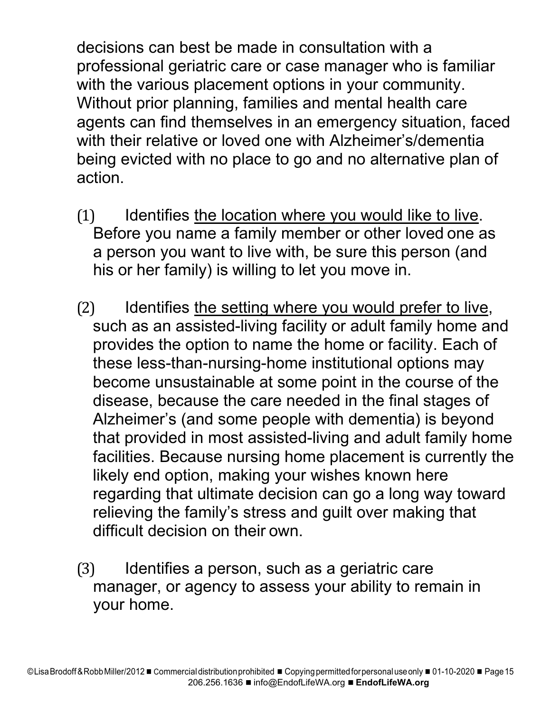decisions can best be made in consultation with a professional geriatric care or case manager who is familiar with the various placement options in your community. Without prior planning, families and mental health care agents can find themselves in an emergency situation, faced with their relative or loved one with Alzheimer's/dementia being evicted with no place to go and no alternative plan of action.

- (1) Identifies the location where you would like to live. Before you name a family member or other loved one as a person you want to live with, be sure this person (and his or her family) is willing to let you move in.
- (2) Identifies the setting where you would prefer to live, such as an assisted-living facility or adult family home and provides the option to name the home or facility. Each of these less-than-nursing-home institutional options may become unsustainable at some point in the course of the disease, because the care needed in the final stages of Alzheimer's (and some people with dementia) is beyond that provided in most assisted-living and adult family home facilities. Because nursing home placement is currently the likely end option, making your wishes known here regarding that ultimate decision can go a long way toward relieving the family's stress and guilt over making that difficult decision on their own.
- (3) Identifies a person, such as a geriatric care manager, or agency to assess your ability to remain in your home.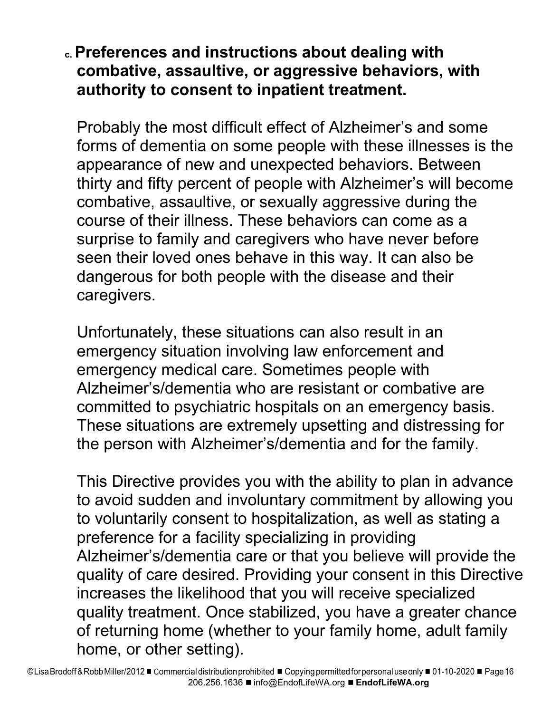#### **c.Preferences and instructions about dealing with combative, assaultive, or aggressive behaviors, with authority to consent to inpatient treatment.**

Probably the most difficult effect of Alzheimer's and some forms of dementia on some people with these illnesses is the appearance of new and unexpected behaviors. Between thirty and fifty percent of people with Alzheimer's will become combative, assaultive, or sexually aggressive during the course of their illness. These behaviors can come as a surprise to family and caregivers who have never before seen their loved ones behave in this way. It can also be dangerous for both people with the disease and their caregivers.

Unfortunately, these situations can also result in an emergency situation involving law enforcement and emergency medical care. Sometimes people with Alzheimer's/dementia who are resistant or combative are committed to psychiatric hospitals on an emergency basis. These situations are extremely upsetting and distressing for the person with Alzheimer's/dementia and for the family.

This Directive provides you with the ability to plan in advance to avoid sudden and involuntary commitment by allowing you to voluntarily consent to hospitalization, as well as stating a preference for a facility specializing in providing Alzheimer's/dementia care or that you believe will provide the quality of care desired. Providing your consent in this Directive increases the likelihood that you will receive specialized quality treatment. Once stabilized, you have a greater chance of returning home (whether to your family home, adult family home, or other setting).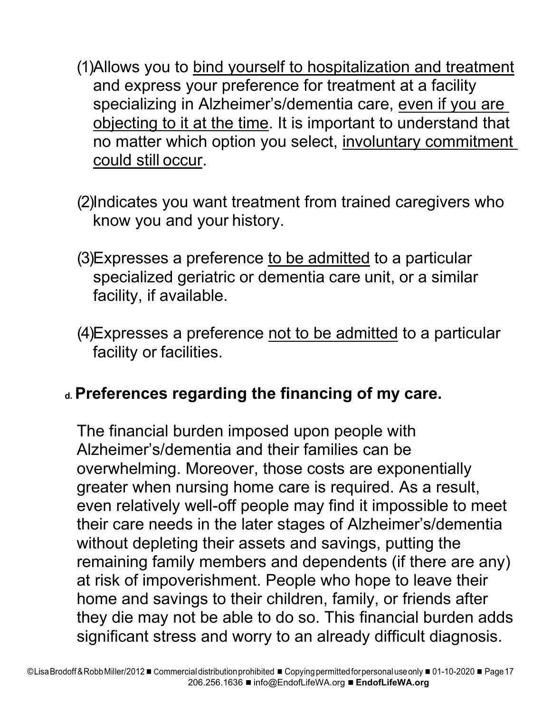- (1)Allows you to bind yourself to hospitalization and treatment and express your preference for treatment at a facility specializing in Alzheimer's/dementia care, even if you are objecting to it at the time. It is important to understand that no matter which option you select, involuntary commitment could still occur.
- (2)Indicates you want treatment from trained caregivers who know you and your history.
- (3) Expresses a preference to be admitted to a particular specialized geriatric or dementia care unit, or a similar facility, if available.
- (4)Expresses a preference not to be admitted to a particular facility or facilities.

## **d.Preferences regarding the financing of my care.**

The financial burden imposed upon people with Alzheimer's/dementia and their families can be overwhelming. Moreover, those costs are exponentially greater when nursing home care is required. As a result, even relatively well-off people may find it impossible to meet their care needs in the later stages of Alzheimer's/dementia without depleting their assets and savings, putting the remaining family members and dependents (if there are any) at risk of impoverishment. People who hope to leave their home and savings to their children, family, or friends after they die may not be able to do so. This financial burden adds significant stress and worry to an already difficult diagnosis.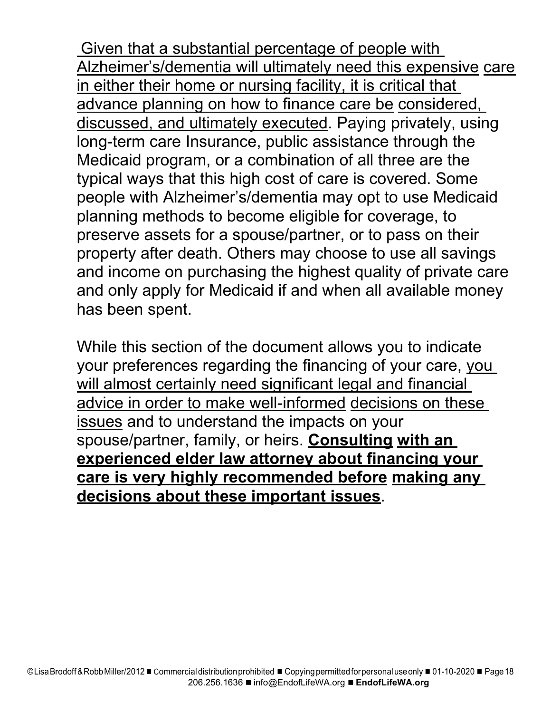Given that a substantial percentage of people with Alzheimer's/dementia will ultimately need this expensive care in either their home or nursing facility, it is critical that advance planning on how to finance care be considered, discussed, and ultimately executed. Paying privately, using long-term care Insurance, public assistance through the Medicaid program, or a combination of all three are the typical ways that this high cost of care is covered. Some people with Alzheimer's/dementia may opt to use Medicaid planning methods to become eligible for coverage, to preserve assets for a spouse/partner, or to pass on their property after death. Others may choose to use all savings and income on purchasing the highest quality of private care and only apply for Medicaid if and when all available money has been spent.

While this section of the document allows you to indicate your preferences regarding the financing of your care, you will almost certainly need significant legal and financial advice in order to make well-informed decisions on these issues and to understand the impacts on your spouse/partner, family, or heirs. **Consulting with an experienced elder law attorney about financing your care is very highly recommended before making any decisions about these important issues**.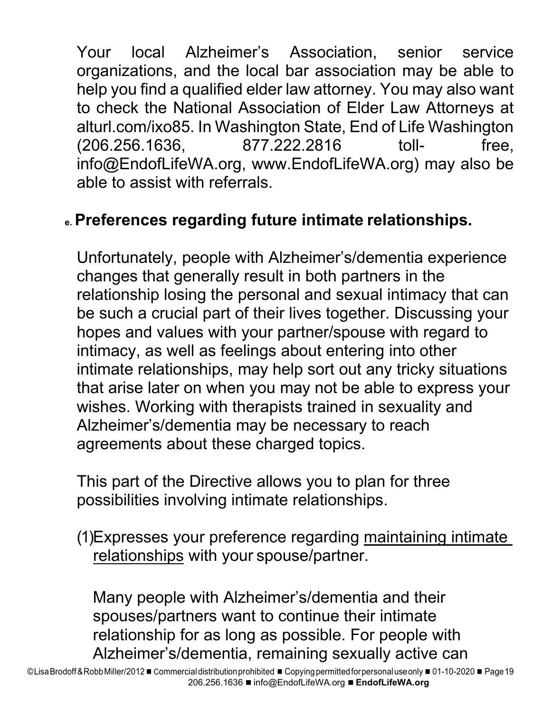Your local Alzheimer's Association, senior service organizations, and the local bar association may be able to help you find a qualified elder law attorney. You may also want to check the National Association of Elder Law Attorneys at alturl.com/ixo85. In Washington State, End of Life Washington (206.256.1636, 877.222.2816 toll- free, [info@EndofLifeWA.org, w](mailto:info@EndofLifeWA.org)ww.EndofLifeWA.org) may also be able to assist with referrals.

# **e.Preferences regarding future intimate relationships.**

Unfortunately, people with Alzheimer's/dementia experience changes that generally result in both partners in the relationship losing the personal and sexual intimacy that can be such a crucial part of their lives together. Discussing your hopes and values with your partner/spouse with regard to intimacy, as well as feelings about entering into other intimate relationships, may help sort out any tricky situations that arise later on when you may not be able to express your wishes. Working with therapists trained in sexuality and Alzheimer's/dementia may be necessary to reach agreements about these charged topics.

This part of the Directive allows you to plan for three possibilities involving intimate relationships.

(1)Expresses your preference regarding maintaining intimate relationships with your spouse/partner.

Many people with Alzheimer's/dementia and their spouses/partners want to continue their intimate relationship for as long as possible. For people with Alzheimer's/dementia, remaining sexually active can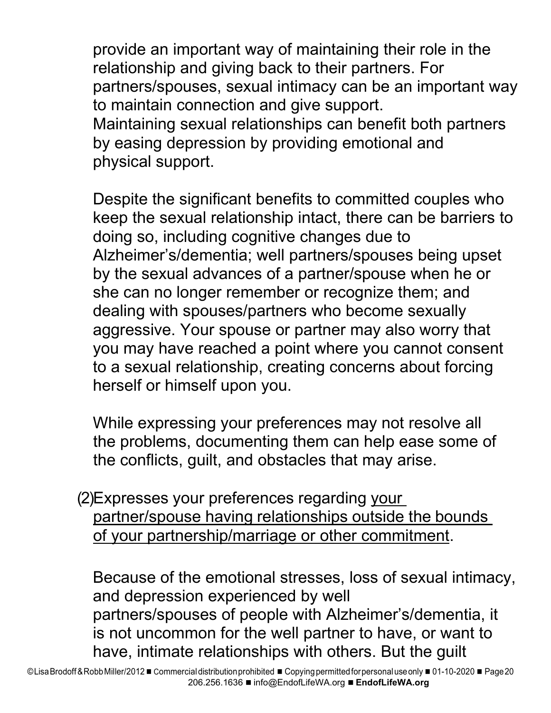provide an important way of maintaining their role in the relationship and giving back to their partners. For partners/spouses, sexual intimacy can be an important way to maintain connection and give support. Maintaining sexual relationships can benefit both partners by easing depression by providing emotional and physical support.

Despite the significant benefits to committed couples who keep the sexual relationship intact, there can be barriers to doing so, including cognitive changes due to Alzheimer's/dementia; well partners/spouses being upset by the sexual advances of a partner/spouse when he or she can no longer remember or recognize them; and dealing with spouses/partners who become sexually aggressive. Your spouse or partner may also worry that you may have reached a point where you cannot consent to a sexual relationship, creating concerns about forcing herself or himself upon you.

While expressing your preferences may not resolve all the problems, documenting them can help ease some of the conflicts, guilt, and obstacles that may arise.

(2)Expresses your preferences regarding your partner/spouse having relationships outside the bounds of your partnership/marriage or other commitment.

Because of the emotional stresses, loss of sexual intimacy, and depression experienced by well partners/spouses of people with Alzheimer's/dementia, it is not uncommon for the well partner to have, or want to have, intimate relationships with others. But the guilt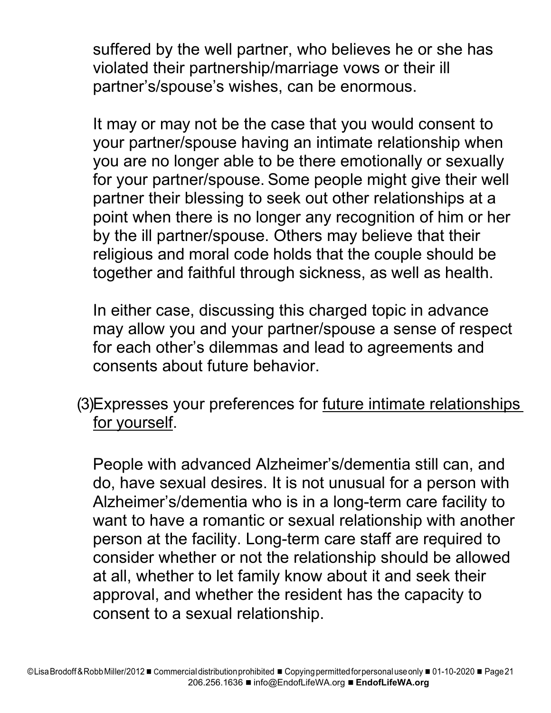suffered by the well partner, who believes he or she has violated their partnership/marriage vows or their ill partner's/spouse's wishes, can be enormous.

It may or may not be the case that you would consent to your partner/spouse having an intimate relationship when you are no longer able to be there emotionally or sexually for your partner/spouse. Some people might give their well partner their blessing to seek out other relationships at a point when there is no longer any recognition of him or her by the ill partner/spouse. Others may believe that their religious and moral code holds that the couple should be together and faithful through sickness, as well as health.

In either case, discussing this charged topic in advance may allow you and your partner/spouse a sense of respect for each other's dilemmas and lead to agreements and consents about future behavior.

(3)Expresses your preferences for future intimate relationships for yourself.

People with advanced Alzheimer's/dementia still can, and do, have sexual desires. It is not unusual for a person with Alzheimer's/dementia who is in a long-term care facility to want to have a romantic or sexual relationship with another person at the facility. Long-term care staff are required to consider whether or not the relationship should be allowed at all, whether to let family know about it and seek their approval, and whether the resident has the capacity to consent to a sexual relationship.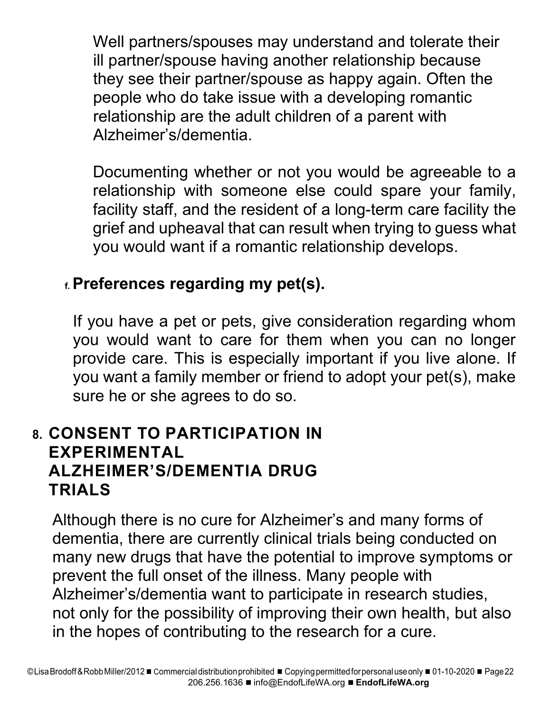Well partners/spouses may understand and tolerate their ill partner/spouse having another relationship because they see their partner/spouse as happy again. Often the people who do take issue with a developing romantic relationship are the adult children of a parent with Alzheimer's/dementia.

Documenting whether or not you would be agreeable to a relationship with someone else could spare your family, facility staff, and the resident of a long-term care facility the grief and upheaval that can result when trying to guess what you would want if a romantic relationship develops.

## **f.Preferences regarding my pet(s).**

If you have a pet or pets, give consideration regarding whom you would want to care for them when you can no longer provide care. This is especially important if you live alone. If you want a family member or friend to adopt your pet(s), make sure he or she agrees to do so.

#### **8. CONSENT TO PARTICIPATION IN EXPERIMENTAL ALZHEIMER'S/DEMENTIA DRUG TRIALS**

Although there is no cure for Alzheimer's and many forms of dementia, there are currently clinical trials being conducted on many new drugs that have the potential to improve symptoms or prevent the full onset of the illness. Many people with Alzheimer's/dementia want to participate in research studies, not only for the possibility of improving their own health, but also in the hopes of contributing to the research for a cure.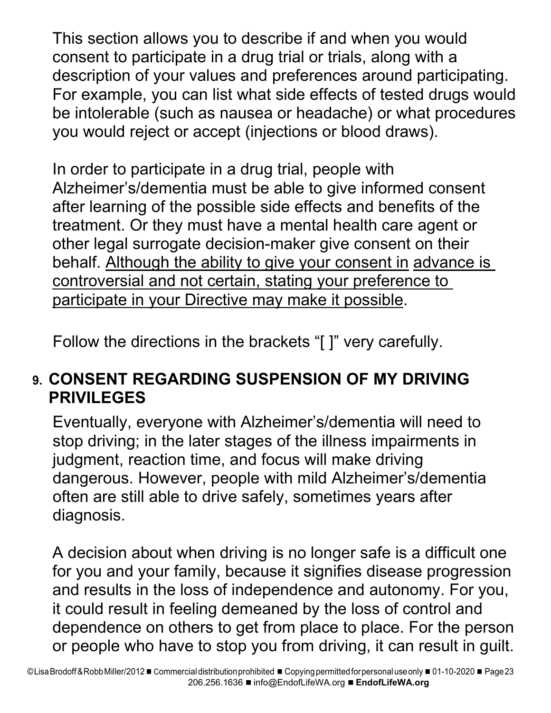This section allows you to describe if and when you would consent to participate in a drug trial or trials, along with a description of your values and preferences around participating. For example, you can list what side effects of tested drugs would be intolerable (such as nausea or headache) or what procedures you would reject or accept (injections or blood draws).

In order to participate in a drug trial, people with Alzheimer's/dementia must be able to give informed consent after learning of the possible side effects and benefits of the treatment. Or they must have a mental health care agent or other legal surrogate decision-maker give consent on their behalf. Although the ability to give your consent in advance is controversial and not certain, stating your preference to participate in your Directive may make it possible.

Follow the directions in the brackets "[ ]" very carefully.

## **9. CONSENT REGARDING SUSPENSION OF MY DRIVING PRIVILEGES**

Eventually, everyone with Alzheimer's/dementia will need to stop driving; in the later stages of the illness impairments in judgment, reaction time, and focus will make driving dangerous. However, people with mild Alzheimer's/dementia often are still able to drive safely, sometimes years after diagnosis.

A decision about when driving is no longer safe is a difficult one for you and your family, because it signifies disease progression and results in the loss of independence and autonomy. For you, it could result in feeling demeaned by the loss of control and dependence on others to get from place to place. For the person or people who have to stop you from driving, it can result in guilt.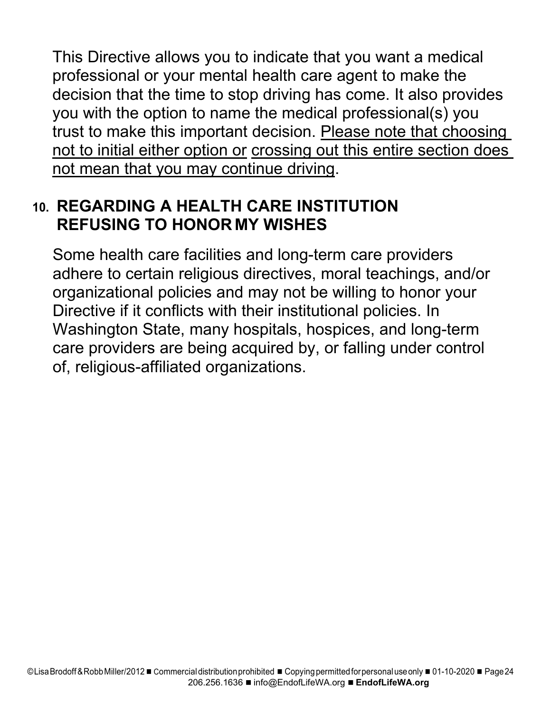This Directive allows you to indicate that you want a medical professional or your mental health care agent to make the decision that the time to stop driving has come. It also provides you with the option to name the medical professional(s) you trust to make this important decision. Please note that choosing not to initial either option or crossing out this entire section does not mean that you may continue driving.

# **10. REGARDING A HEALTH CARE INSTITUTION REFUSING TO HONOR MY WISHES**

Some health care facilities and long-term care providers adhere to certain religious directives, moral teachings, and/or organizational policies and may not be willing to honor your Directive if it conflicts with their institutional policies. In Washington State, many hospitals, hospices, and long-term care providers are being acquired by, or falling under control of, religious-affiliated organizations.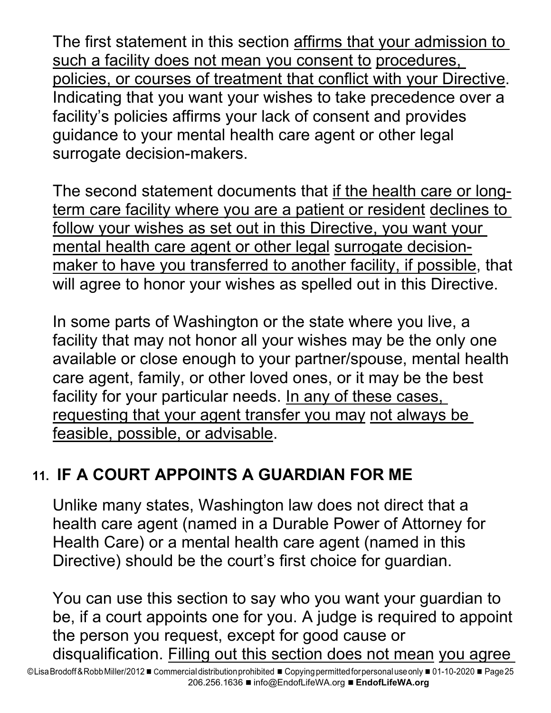The first statement in this section affirms that your admission to such a facility does not mean you consent to procedures, policies, or courses of treatment that conflict with your Directive. Indicating that you want your wishes to take precedence over a facility's policies affirms your lack of consent and provides guidance to your mental health care agent or other legal surrogate decision-makers.

The second statement documents that if the health care or longterm care facility where you are a patient or resident declines to follow your wishes as set out in this Directive, you want your mental health care agent or other legal surrogate decisionmaker to have you transferred to another facility, if possible, that will agree to honor your wishes as spelled out in this Directive.

In some parts of Washington or the state where you live, a facility that may not honor all your wishes may be the only one available or close enough to your partner/spouse, mental health care agent, family, or other loved ones, or it may be the best facility for your particular needs. In any of these cases, requesting that your agent transfer you may not always be feasible, possible, or advisable.

# **11. IF A COURT APPOINTS A GUARDIAN FOR ME**

Unlike many states, Washington law does not direct that a health care agent (named in a Durable Power of Attorney for Health Care) or a mental health care agent (named in this Directive) should be the court's first choice for guardian.

You can use this section to say who you want your guardian to be, if a court appoints one for you. A judge is required to appoint the person you request, except for good cause or disqualification. Filling out this section does not mean you agree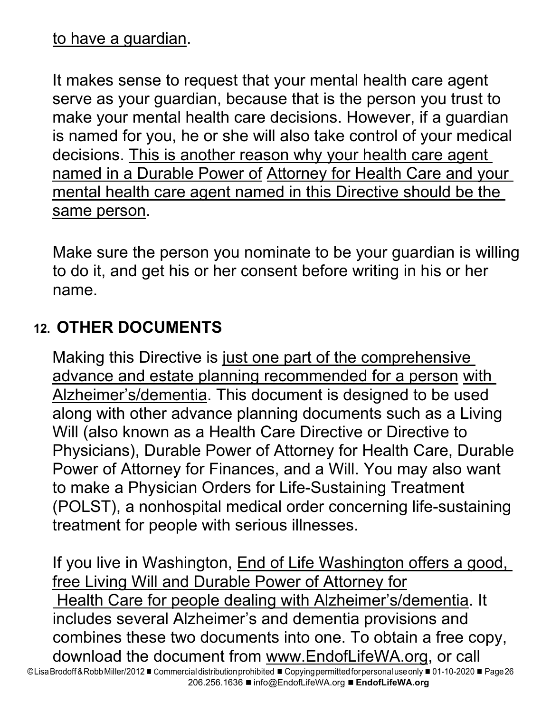to have a guardian.

It makes sense to request that your mental health care agent serve as your guardian, because that is the person you trust to make your mental health care decisions. However, if a guardian is named for you, he or she will also take control of your medical decisions. This is another reason why your health care agent named in a Durable Power of Attorney for Health Care and your mental health care agent named in this Directive should be the same person.

Make sure the person you nominate to be your guardian is willing to do it, and get his or her consent before writing in his or her name.

## **12. OTHER DOCUMENTS**

Making this Directive is just one part of the comprehensive advance and estate planning recommended for a person with Alzheimer's/dementia. This document is designed to be used along with other advance planning documents such as a Living Will (also known as a Health Care Directive or Directive to Physicians), Durable Power of Attorney for Health Care, Durable Power of Attorney for Finances, and a Will. You may also want to make a Physician Orders for Life-Sustaining Treatment (POLST), a nonhospital medical order concerning life-sustaining treatment for people with serious illnesses.

If you live in Washington, End of Life Washington offers a good, free Living Will and Durable Power of Attorney for Health Care for people dealing with Alzheimer's/dementia. It includes several Alzheimer's and dementia provisions and combines these two documents into one. To obtain a free copy, download the document from [www.EndofLifeWA.org, o](http://www.endoflifewa.org/)r call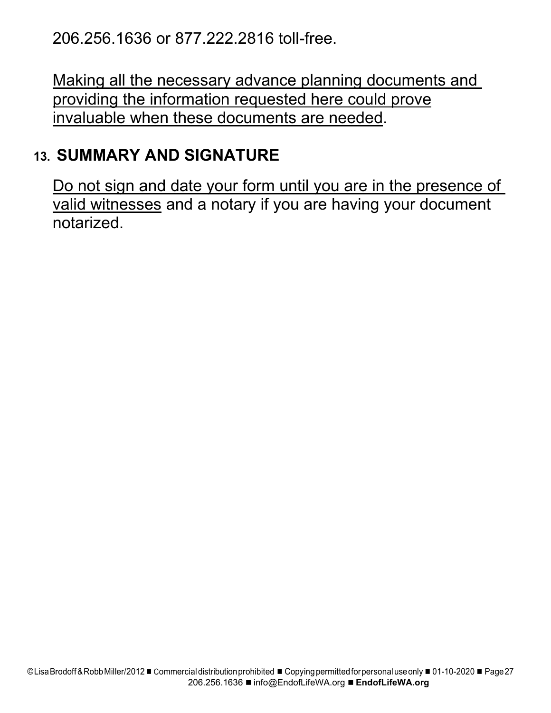206.256.1636 or 877.222.2816 toll-free.

Making all the necessary advance planning documents and providing the information requested here could prove invaluable when these documents are needed.

# **13. SUMMARY AND SIGNATURE**

Do not sign and date your form until you are in the presence of valid witnesses and a notary if you are having your document notarized.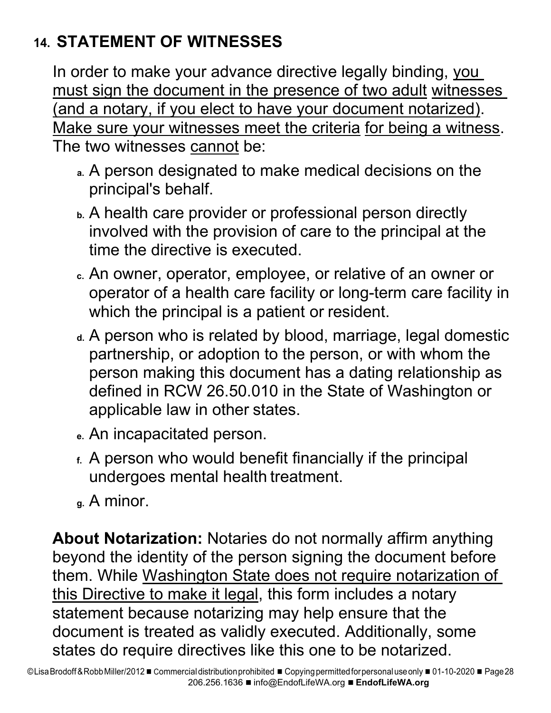# **14. STATEMENT OF WITNESSES**

In order to make your advance directive legally binding, you must sign the document in the presence of two adult witnesses (and a notary, if you elect to have your document notarized). Make sure your witnesses meet the criteria for being a witness. The two witnesses cannot be:

- **a.** A person designated to make medical decisions on the principal's behalf.
- **b.** A health care provider or professional person directly involved with the provision of care to the principal at the time the directive is executed.
- **c.** An owner, operator, employee, or relative of an owner or operator of a health care facility or long-term care facility in which the principal is a patient or resident.
- **d.** A person who is related by blood, marriage, legal domestic partnership, or adoption to the person, or with whom the person making this document has a dating relationship as defined in RCW 26.50.010 in the State of Washington or applicable law in other states.
- **e.** An incapacitated person.
- **f.** A person who would benefit financially if the principal undergoes mental health treatment.
- **g.** A minor.

**About Notarization:** Notaries do not normally affirm anything beyond the identity of the person signing the document before them. While Washington State does not require notarization of this Directive to make it legal, this form includes a notary statement because notarizing may help ensure that the document is treated as validly executed. Additionally, some states do require directives like this one to be notarized.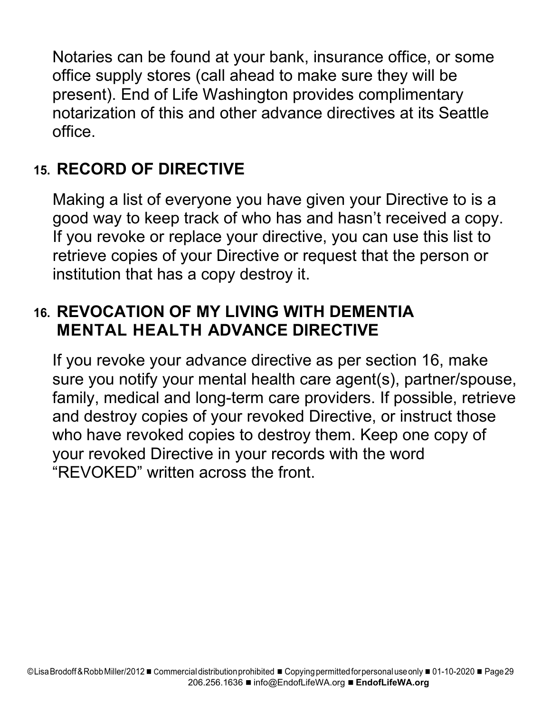Notaries can be found at your bank, insurance office, or some office supply stores (call ahead to make sure they will be present). End of Life Washington provides complimentary notarization of this and other advance directives at its Seattle office.

# **15. RECORD OF DIRECTIVE**

Making a list of everyone you have given your Directive to is a good way to keep track of who has and hasn't received a copy. If you revoke or replace your directive, you can use this list to retrieve copies of your Directive or request that the person or institution that has a copy destroy it.

## **16. REVOCATION OF MY LIVING WITH DEMENTIA MENTAL HEALTH ADVANCE DIRECTIVE**

If you revoke your advance directive as per section 16, make sure you notify your mental health care agent(s), partner/spouse, family, medical and long-term care providers. If possible, retrieve and destroy copies of your revoked Directive, or instruct those who have revoked copies to destroy them. Keep one copy of your revoked Directive in your records with the word "REVOKED" written across the front.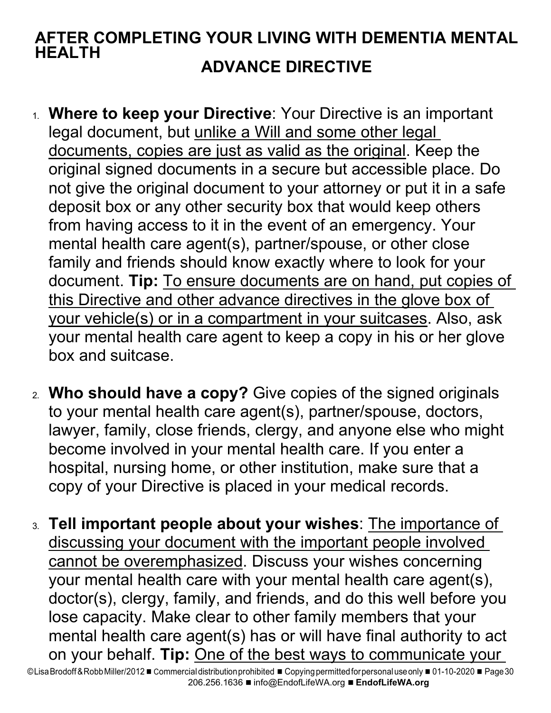#### **AFTER COMPLETING YOUR LIVING WITH DEMENTIA MENTAL HEALTH ADVANCE DIRECTIVE**

- 1. **Where to keep your Directive**: Your Directive is an important legal document, but unlike a Will and some other legal documents, copies are just as valid as the original. Keep the original signed documents in a secure but accessible place. Do not give the original document to your attorney or put it in a safe deposit box or any other security box that would keep others from having access to it in the event of an emergency. Your mental health care agent(s), partner/spouse, or other close family and friends should know exactly where to look for your document. **Tip:** To ensure documents are on hand, put copies of this Directive and other advance directives in the glove box of your vehicle(s) or in a compartment in your suitcases. Also, ask your mental health care agent to keep a copy in his or her glove box and suitcase.
- 2. **Who should have a copy?** Give copies of the signed originals to your mental health care agent(s), partner/spouse, doctors, lawyer, family, close friends, clergy, and anyone else who might become involved in your mental health care. If you enter a hospital, nursing home, or other institution, make sure that a copy of your Directive is placed in your medical records.
- 3. **Tell important people about your wishes**: The importance of discussing your document with the important people involved cannot be overemphasized. Discuss your wishes concerning your mental health care with your mental health care agent(s), doctor(s), clergy, family, and friends, and do this well before you lose capacity. Make clear to other family members that your mental health care agent(s) has or will have final authority to act on your behalf. **Tip:** One of the best ways to communicate your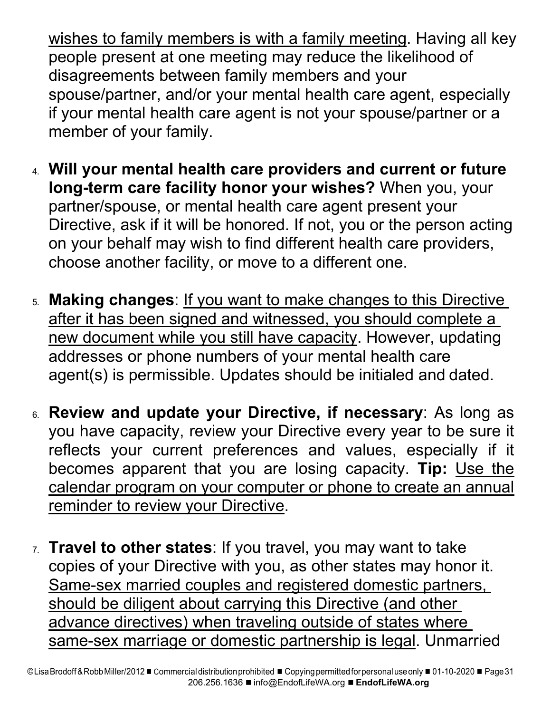wishes to family members is with a family meeting. Having all key people present at one meeting may reduce the likelihood of disagreements between family members and your spouse/partner, and/or your mental health care agent, especially if your mental health care agent is not your spouse/partner or a member of your family.

- 4. **Will your mental health care providers and current or future long-term care facility honor your wishes?** When you, your partner/spouse, or mental health care agent present your Directive, ask if it will be honored. If not, you or the person acting on your behalf may wish to find different health care providers, choose another facility, or move to a different one.
- 5. **Making changes**: If you want to make changes to this Directive after it has been signed and witnessed, you should complete a new document while you still have capacity. However, updating addresses or phone numbers of your mental health care agent(s) is permissible. Updates should be initialed and dated.
- 6. **Review and update your Directive, if necessary**: As long as you have capacity, review your Directive every year to be sure it reflects your current preferences and values, especially if it becomes apparent that you are losing capacity. **Tip:** Use the calendar program on your computer or phone to create an annual reminder to review your Directive.
- 7. **Travel to other states**: If you travel, you may want to take copies of your Directive with you, as other states may honor it. Same-sex married couples and registered domestic partners, should be diligent about carrying this Directive (and other advance directives) when traveling outside of states where same-sex marriage or domestic partnership is legal. Unmarried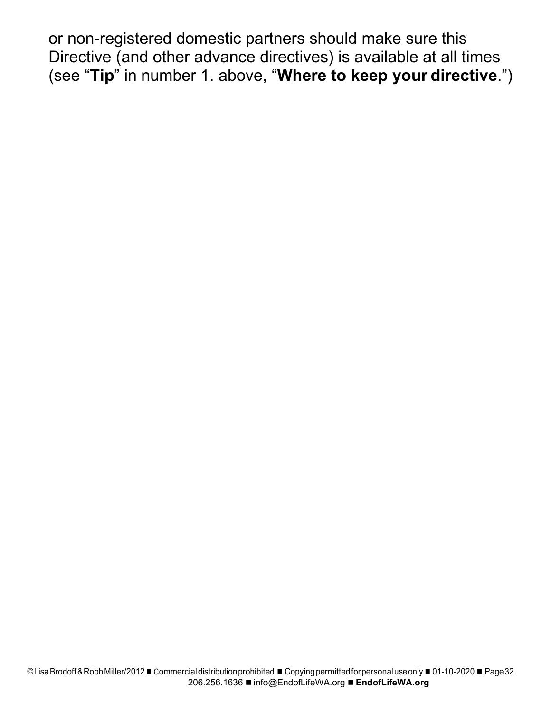or non-registered domestic partners should make sure this Directive (and other advance directives) is available at all times (see "**Tip**" in number 1. above, "**Where to keep your directive**.")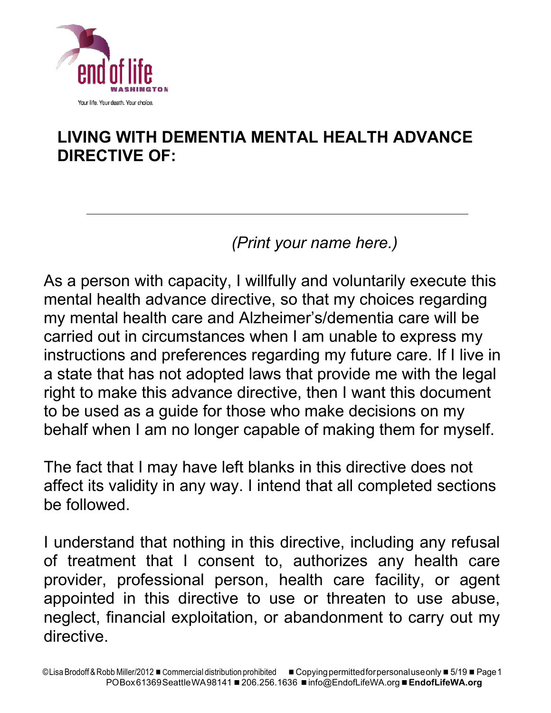

# **LIVING WITH DEMENTIA MENTAL HEALTH ADVANCE DIRECTIVE OF:**

*(Print your name here.)*

As a person with capacity, I willfully and voluntarily execute this mental health advance directive, so that my choices regarding my mental health care and Alzheimer's/dementia care will be carried out in circumstances when I am unable to express my instructions and preferences regarding my future care. If I live in a state that has not adopted laws that provide me with the legal right to make this advance directive, then I want this document to be used as a guide for those who make decisions on my behalf when I am no longer capable of making them for myself.

The fact that I may have left blanks in this directive does not affect its validity in any way. I intend that all completed sections be followed.

I understand that nothing in this directive, including any refusal of treatment that I consent to, authorizes any health care provider, professional person, health care facility, or agent appointed in this directive to use or threaten to use abuse, neglect, financial exploitation, or abandonment to carry out my directive.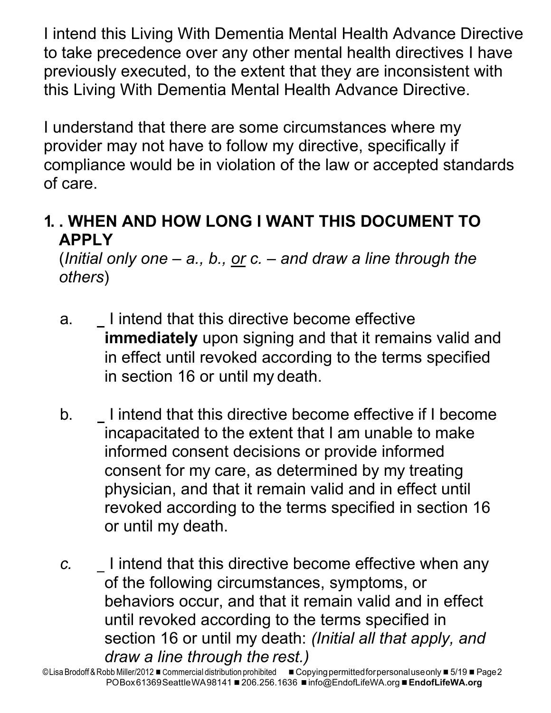I intend this Living With Dementia Mental Health Advance Directive to take precedence over any other mental health directives I have previously executed, to the extent that they are inconsistent with this Living With Dementia Mental Health Advance Directive.

I understand that there are some circumstances where my provider may not have to follow my directive, specifically if compliance would be in violation of the law or accepted standards of care.

# **1. . WHEN AND HOW LONG I WANT THIS DOCUMENT TO APPLY**

(*Initial only one – a., b., or c.* – *and draw a line through the others*)

- a. I intend that this directive become effective **immediately** upon signing and that it remains valid and in effect until revoked according to the terms specified in section 16 or until my death.
- b. I intend that this directive become effective if I become incapacitated to the extent that I am unable to make informed consent decisions or provide informed consent for my care, as determined by my treating physician, and that it remain valid and in effect until revoked according to the terms specified in section 16 or until my death.
- *c.* I intend that this directive become effective when any of the following circumstances, symptoms, or behaviors occur, and that it remain valid and in effect until revoked according to the terms specified in section 16 or until my death: *(Initial all that apply, and draw a line through the rest.)*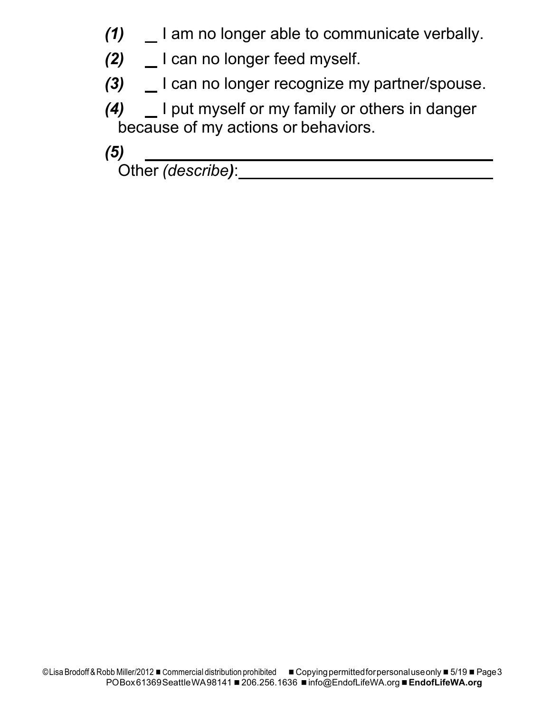- *(1)*I am no longer able to communicate verbally.
- *(2)*I can no longer feed myself.
- *(3)*I can no longer recognize my partner/spouse.
- *(4)*I put myself or my family or others in danger because of my actions or behaviors.

 $(5)$ 

Other *(describe)*: 2000 million and 2000 million and 2000 million and 2000 million and 2000 million and 2000 million and 2000 million and 2000 million and 2000 million and 2000 million and 2000 million and 2000 million an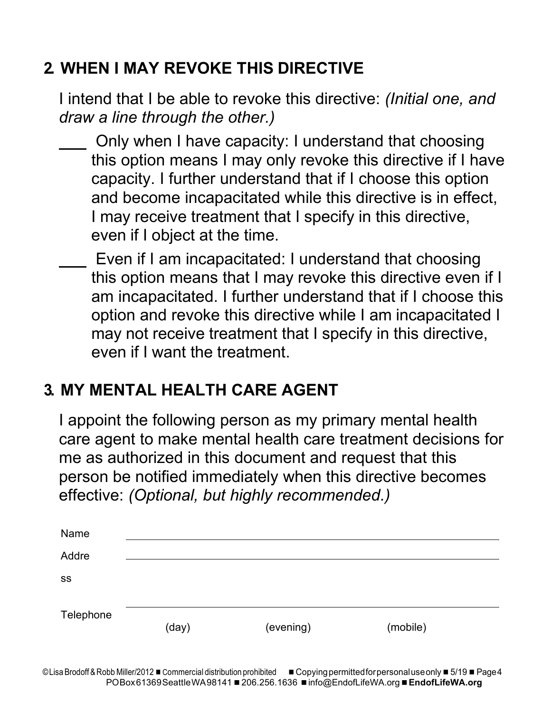# **2. WHEN I MAY REVOKE THIS DIRECTIVE**

I intend that I be able to revoke this directive: *(Initial one, and draw a line through the other.)*

- Only when I have capacity: I understand that choosing this option means I may only revoke this directive if I have capacity. I further understand that if I choose this option and become incapacitated while this directive is in effect, I may receive treatment that I specify in this directive, even if I object at the time.
- Even if I am incapacitated: I understand that choosing this option means that I may revoke this directive even if I am incapacitated. I further understand that if I choose this option and revoke this directive while I am incapacitated I may not receive treatment that I specify in this directive, even if I want the treatment.

# **3. MY MENTAL HEALTH CARE AGENT**

I appoint the following person as my primary mental health care agent to make mental health care treatment decisions for me as authorized in this document and request that this person be notified immediately when this directive becomes effective: *(Optional, but highly recommended.)*

| Name      |       |           |          |  |
|-----------|-------|-----------|----------|--|
| Addre     |       |           |          |  |
| SS        |       |           |          |  |
| Telephone | (day) | (evening) | (mobile) |  |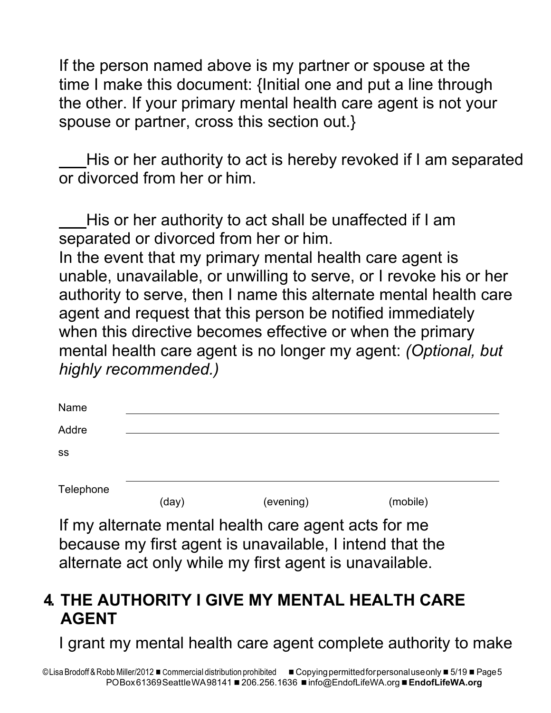If the person named above is my partner or spouse at the time I make this document: {Initial one and put a line through the other. If your primary mental health care agent is not your spouse or partner, cross this section out.}

 His or her authority to act is hereby revoked if I am separated or divorced from her or him.

 His or her authority to act shall be unaffected if I am separated or divorced from her or him. In the event that my primary mental health care agent is unable, unavailable, or unwilling to serve, or I revoke his or her authority to serve, then I name this alternate mental health care agent and request that this person be notified immediately when this directive becomes effective or when the primary mental health care agent is no longer my agent: *(Optional, but highly recommended.)*

| Name      |       |           |          |  |
|-----------|-------|-----------|----------|--|
| Addre     |       |           |          |  |
| SS        |       |           |          |  |
|           |       |           |          |  |
| Telephone | (day) | (evening) | (mobile) |  |

If my alternate mental health care agent acts for me because my first agent is unavailable, I intend that the alternate act only while my first agent is unavailable.

# **4. THE AUTHORITY I GIVE MY MENTAL HEALTH CARE AGENT**

I grant my mental health care agent complete authority to make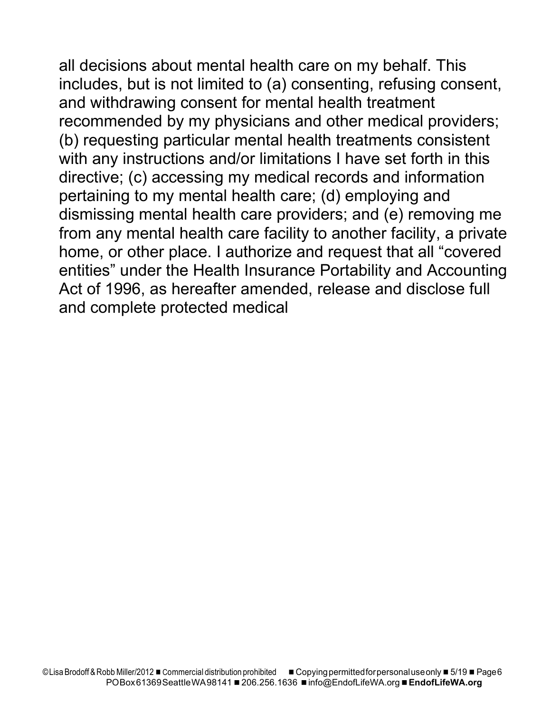all decisions about mental health care on my behalf. This includes, but is not limited to (a) consenting, refusing consent, and withdrawing consent for mental health treatment recommended by my physicians and other medical providers; (b) requesting particular mental health treatments consistent with any instructions and/or limitations I have set forth in this directive; (c) accessing my medical records and information pertaining to my mental health care; (d) employing and dismissing mental health care providers; and (e) removing me from any mental health care facility to another facility, a private home, or other place. I authorize and request that all "covered entities" under the Health Insurance Portability and Accounting Act of 1996, as hereafter amended, release and disclose full and complete protected medical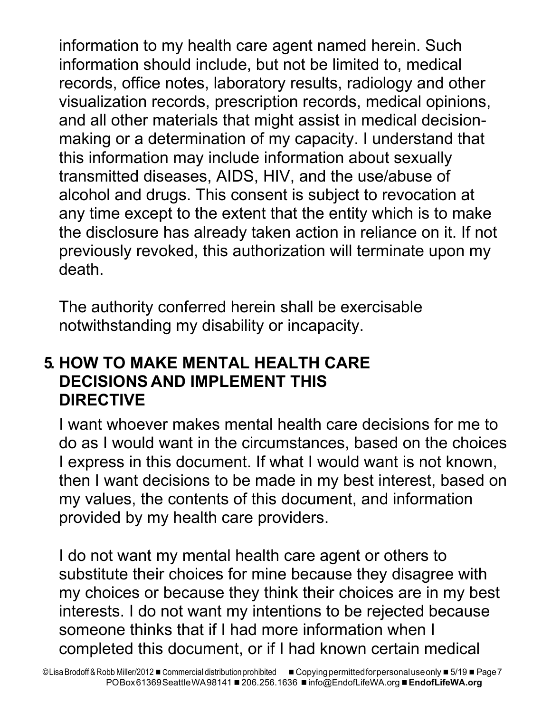information to my health care agent named herein. Such information should include, but not be limited to, medical records, office notes, laboratory results, radiology and other visualization records, prescription records, medical opinions, and all other materials that might assist in medical decisionmaking or a determination of my capacity. I understand that this information may include information about sexually transmitted diseases, AIDS, HIV, and the use/abuse of alcohol and drugs. This consent is subject to revocation at any time except to the extent that the entity which is to make the disclosure has already taken action in reliance on it. If not previously revoked, this authorization will terminate upon my death.

The authority conferred herein shall be exercisable notwithstanding my disability or incapacity.

#### **5. HOW TO MAKE MENTAL HEALTH CARE DECISIONS AND IMPLEMENT THIS DIRECTIVE**

I want whoever makes mental health care decisions for me to do as I would want in the circumstances, based on the choices I express in this document. If what I would want is not known, then I want decisions to be made in my best interest, based on my values, the contents of this document, and information provided by my health care providers.

I do not want my mental health care agent or others to substitute their choices for mine because they disagree with my choices or because they think their choices are in my best interests. I do not want my intentions to be rejected because someone thinks that if I had more information when I completed this document, or if I had known certain medical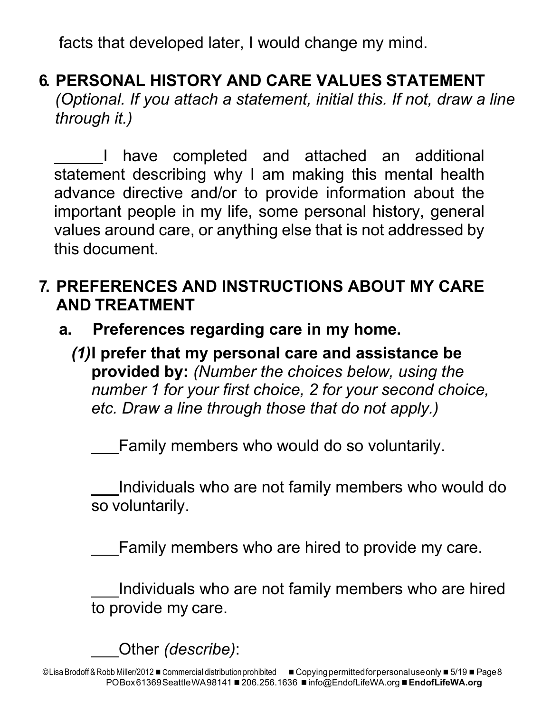facts that developed later, I would change my mind.

## **6. PERSONAL HISTORY AND CARE VALUES STATEMENT**

*(Optional. If you attach a statement, initial this. If not, draw a line through it.)*

 I have completed and attached an additional statement describing why I am making this mental health advance directive and/or to provide information about the important people in my life, some personal history, general values around care, or anything else that is not addressed by this document.

#### **7. PREFERENCES AND INSTRUCTIONS ABOUT MY CARE AND TREATMENT**

#### **a. Preferences regarding care in my home.**

*(1)***I prefer that my personal care and assistance be provided by:** *(Number the choices below, using the number 1 for your first choice, 2 for your second choice, etc. Draw a line through those that do not apply.)*

Family members who would do so voluntarily.

 Individuals who are not family members who would do so voluntarily.

Family members who are hired to provide my care.

 Individuals who are not family members who are hired to provide my care.

Other *(describe)*: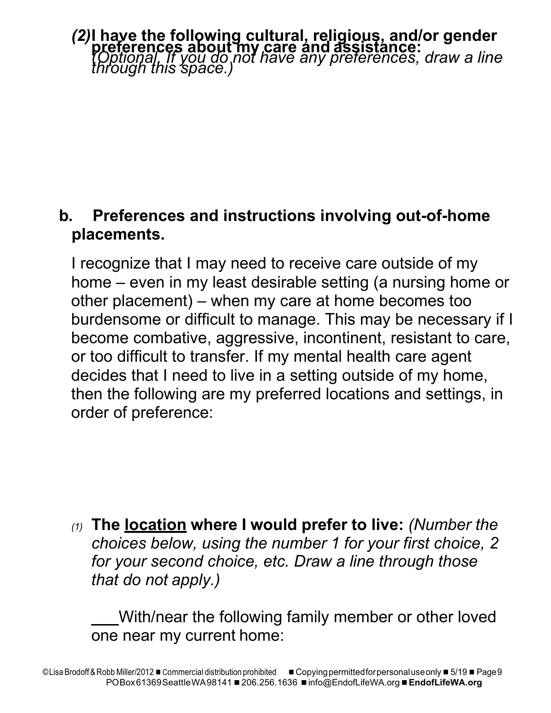# (2) have the following cultural, religious, and/or gender<br>preferences about my care and assistance:<br>(Optional, If you do not have any preferences, draw a line<br>through this space.)

#### **b. Preferences and instructions involving out-of-home placements.**

I recognize that I may need to receive care outside of my home – even in my least desirable setting (a nursing home or other placement) – when my care at home becomes too burdensome or difficult to manage. This may be necessary if I become combative, aggressive, incontinent, resistant to care, or too difficult to transfer. If my mental health care agent decides that I need to live in a setting outside of my home, then the following are my preferred locations and settings, in order of preference:

*(1)* **The location where I would prefer to live:** *(Number the choices below, using the number 1 for your first choice, 2 for your second choice, etc. Draw a line through those that do not apply.)*

 With/near the following family member or other loved one near my current home: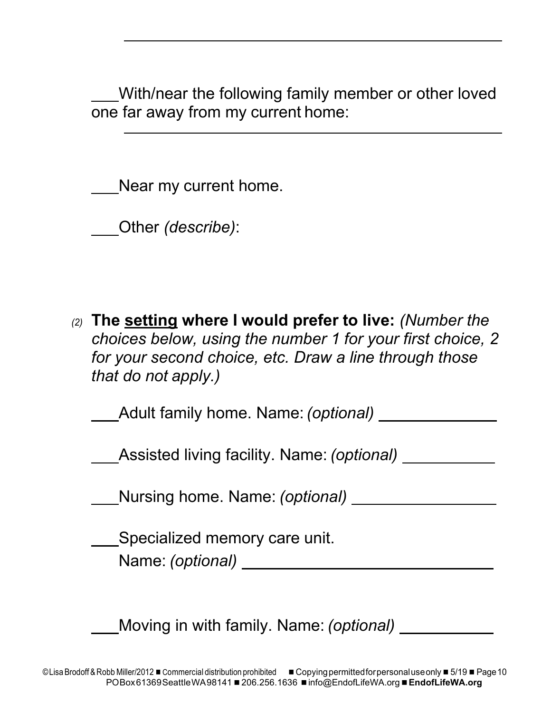With/near the following family member or other loved one far away from my current home:

Near my current home.

Other *(describe)*:

*(2)* **The setting where I would prefer to live:** *(Number the choices below, using the number 1 for your first choice, 2 for your second choice, etc. Draw a line through those that do not apply.)*

Adult family home. Name:*(optional)* 

Assisted living facility. Name: *(optional)* 

Nursing home. Name: *(optional)* 

**Specialized memory care unit.** Name: *(optional)* 

Moving in with family. Name: *(optional)*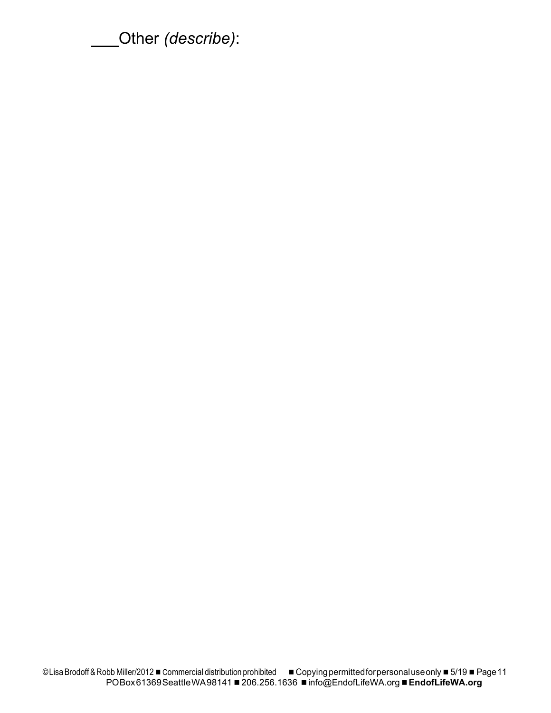Other *(describe)*: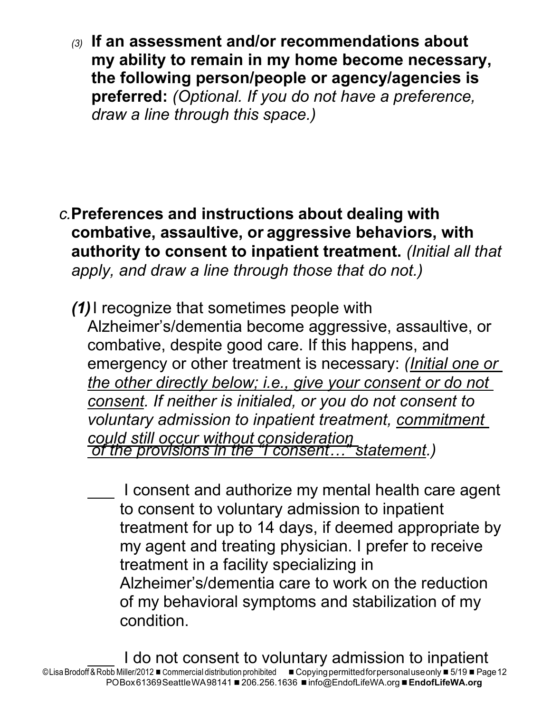*(3)* **If an assessment and/or recommendations about my ability to remain in my home become necessary, the following person/people or agency/agencies is preferred:** *(Optional. If you do not have a preference, draw a line through this space.)*

- *c.***Preferences and instructions about dealing with combative, assaultive, or aggressive behaviors, with authority to consent to inpatient treatment.** *(Initial all that apply, and draw a line through those that do not.)*
	- *(1)*I recognize that sometimes people with Alzheimer's/dementia become aggressive, assaultive, or combative, despite good care. If this happens, and emergency or other treatment is necessary: *(Initial one or the other directly below; i.e., give your consent or do not consent. If neither is initialed, or you do not consent to voluntary admission to inpatient treatment, commitment could still occur without consideration*<br>of the provisions in the "I consent..." statement.)
		- I consent and authorize my mental health care agent to consent to voluntary admission to inpatient treatment for up to 14 days, if deemed appropriate by my agent and treating physician. I prefer to receive treatment in a facility specializing in Alzheimer's/dementia care to work on the reduction of my behavioral symptoms and stabilization of my condition.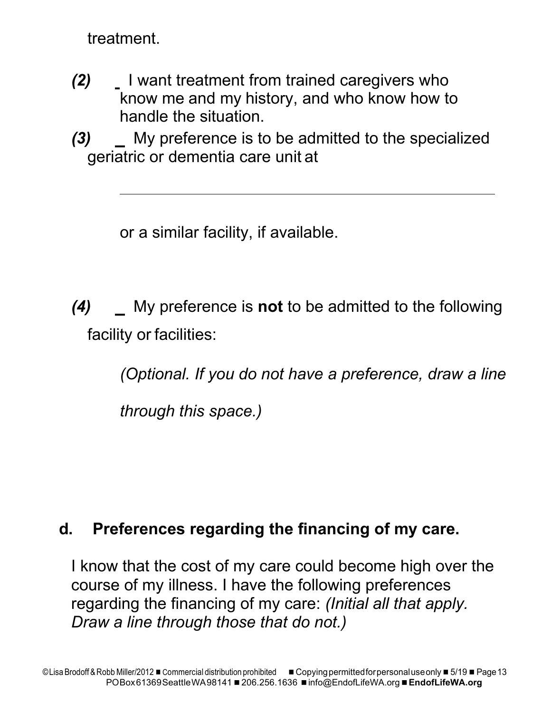treatment.

- *(2)*I want treatment from trained caregivers who know me and my history, and who know how to handle the situation.
- **(3)** My preference is to be admitted to the specialized geriatric or dementia care unit at

or a similar facility, if available.

*(4)*My preference is **not** to be admitted to the following facility or facilities:

*(Optional. If you do not have a preference, draw a line* 

*through this space.)*

## **d. Preferences regarding the financing of my care.**

I know that the cost of my care could become high over the course of my illness. I have the following preferences regarding the financing of my care: *(Initial all that apply. Draw a line through those that do not.)*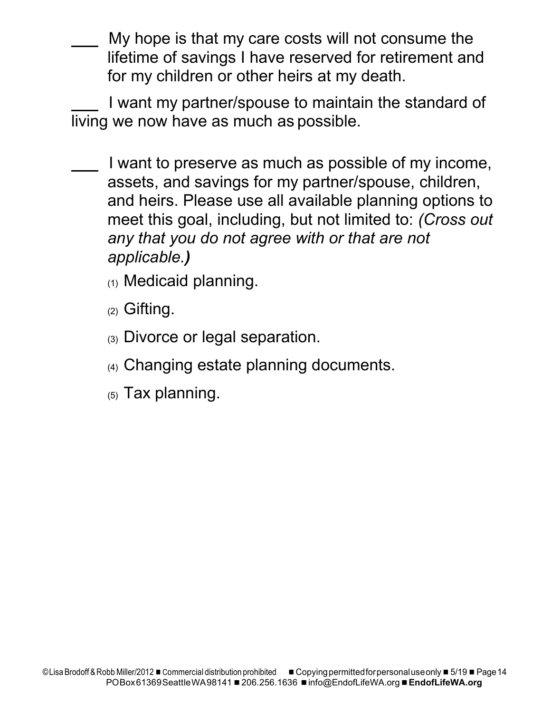My hope is that my care costs will not consume the lifetime of savings I have reserved for retirement and for my children or other heirs at my death.

 I want my partner/spouse to maintain the standard of living we now have as much as possible.

- I want to preserve as much as possible of my income, assets, and savings for my partner/spouse, children, and heirs. Please use all available planning options to meet this goal, including, but not limited to: *(Cross out any that you do not agree with or that are not applicable.)* 
	- (1) Medicaid planning.
	- (2) Gifting.
	- (3) Divorce or legal separation.
	- (4) Changing estate planning documents.
	- (5) Tax planning.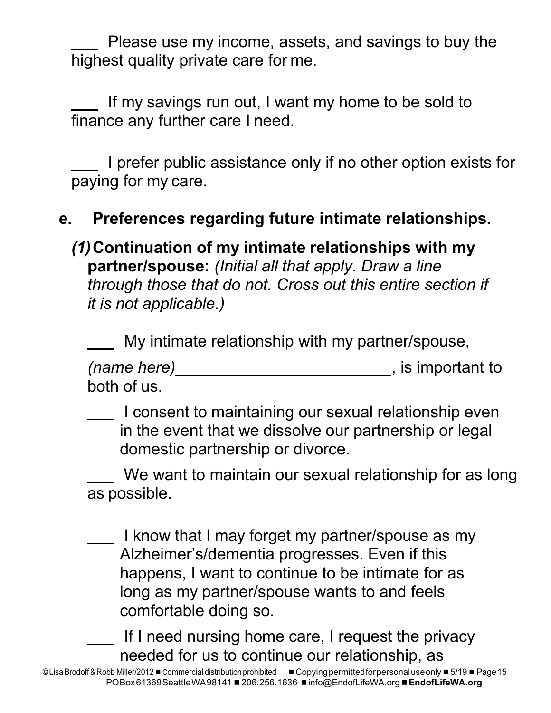Please use my income, assets, and savings to buy the highest quality private care for me.

 If my savings run out, I want my home to be sold to finance any further care I need.

 I prefer public assistance only if no other option exists for paying for my care.

# **e. Preferences regarding future intimate relationships.**

*(1)***Continuation of my intimate relationships with my partner/spouse:** *(Initial all that apply. Draw a line through those that do not. Cross out this entire section if it is not applicable.)*

My intimate relationship with my partner/spouse,

*(name here)* , is important to both of us.

I consent to maintaining our sexual relationship even in the event that we dissolve our partnership or legal domestic partnership or divorce.

We want to maintain our sexual relationship for as long as possible.

**I know that I may forget my partner/spouse as my** Alzheimer's/dementia progresses. Even if this happens, I want to continue to be intimate for as long as my partner/spouse wants to and feels comfortable doing so.

If I need nursing home care, I request the privacy needed for us to continue our relationship, as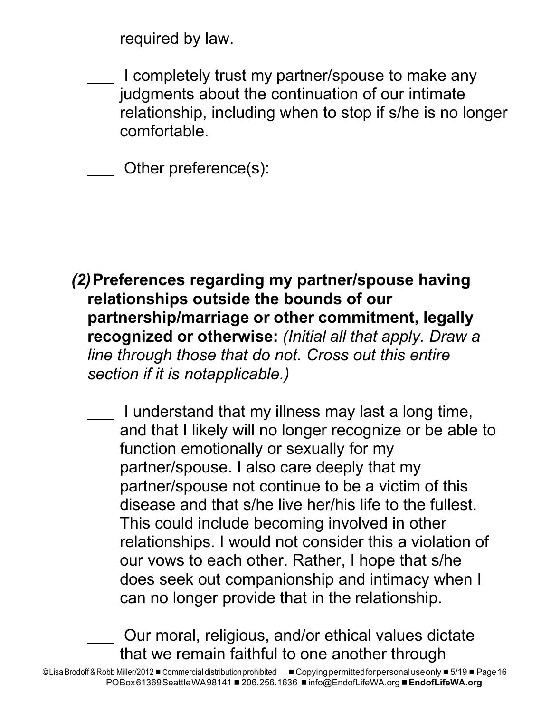required by law.

 I completely trust my partner/spouse to make any judgments about the continuation of our intimate relationship, including when to stop if s/he is no longer comfortable.

Other preference(s):

*(2)***Preferences regarding my partner/spouse having relationships outside the bounds of our partnership/marriage or other commitment, legally recognized or otherwise:** *(Initial all that apply. Draw a line through those that do not. Cross out this entire section if it is notapplicable.)*

 I understand that my illness may last a long time, and that I likely will no longer recognize or be able to function emotionally or sexually for my partner/spouse. I also care deeply that my partner/spouse not continue to be a victim of this disease and that s/he live her/his life to the fullest. This could include becoming involved in other relationships. I would not consider this a violation of our vows to each other. Rather, I hope that s/he does seek out companionship and intimacy when I can no longer provide that in the relationship.

 Our moral, religious, and/or ethical values dictate that we remain faithful to one another through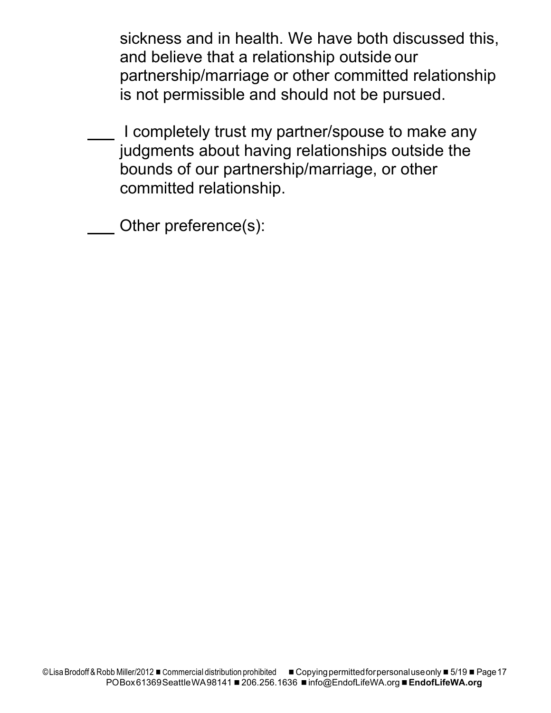sickness and in health. We have both discussed this, and believe that a relationship outside our partnership/marriage or other committed relationship is not permissible and should not be pursued.

 I completely trust my partner/spouse to make any judgments about having relationships outside the bounds of our partnership/marriage, or other committed relationship.

Other preference(s):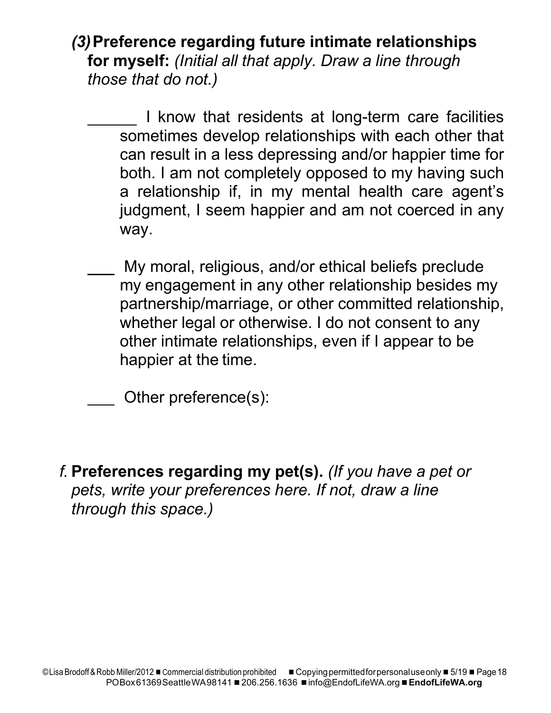## *(3)***Preference regarding future intimate relationships for myself:** *(Initial all that apply. Draw a line through those that do not.)*

- I know that residents at long-term care facilities sometimes develop relationships with each other that can result in a less depressing and/or happier time for both. I am not completely opposed to my having such a relationship if, in my mental health care agent's judgment, I seem happier and am not coerced in any way.
- My moral, religious, and/or ethical beliefs preclude my engagement in any other relationship besides my partnership/marriage, or other committed relationship, whether legal or otherwise. I do not consent to any other intimate relationships, even if I appear to be happier at the time.

Other preference(s):

*f.* **Preferences regarding my pet(s).** *(If you have a pet or pets, write your preferences here. If not, draw a line through this space.)*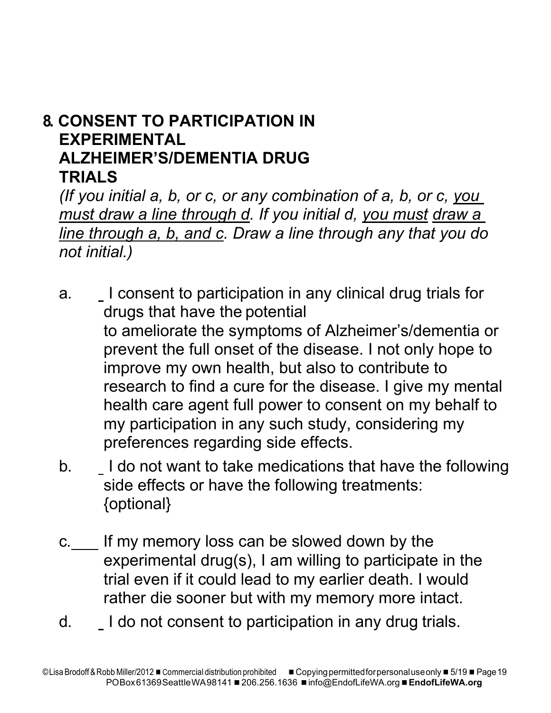#### **8. CONSENT TO PARTICIPATION IN EXPERIMENTAL ALZHEIMER'S/DEMENTIA DRUG TRIALS**

*(If you initial a, b, or c, or any combination of a, b, or c, you must draw a line through d. If you initial d, you must draw a line through a, b, and c. Draw a line through any that you do not initial.)*

- a. **I** consent to participation in any clinical drug trials for drugs that have the potential to ameliorate the symptoms of Alzheimer's/dementia or prevent the full onset of the disease. I not only hope to improve my own health, but also to contribute to research to find a cure for the disease. I give my mental health care agent full power to consent on my behalf to my participation in any such study, considering my preferences regarding side effects.
- b. I do not want to take medications that have the following side effects or have the following treatments: {optional}
- c. If my memory loss can be slowed down by the experimental drug(s), I am willing to participate in the trial even if it could lead to my earlier death. I would rather die sooner but with my memory more intact.
- d. Let 1 do not consent to participation in any drug trials.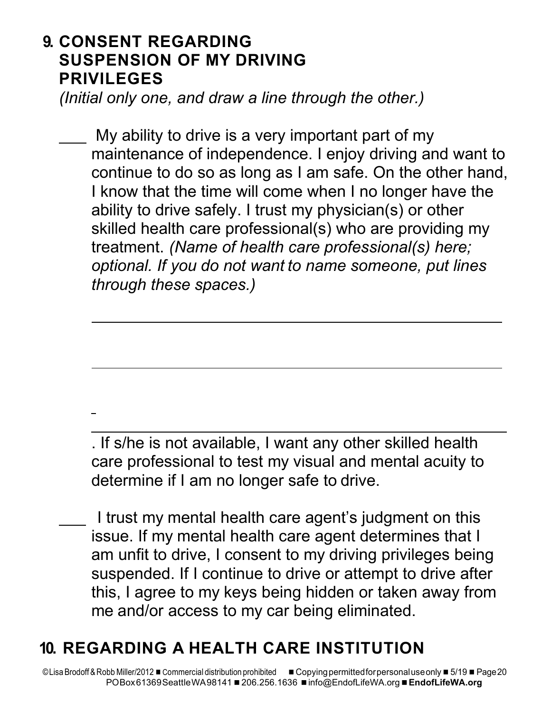## **9. CONSENT REGARDING SUSPENSION OF MY DRIVING PRIVILEGES**

*(Initial only one, and draw a line through the other.)*

 My ability to drive is a very important part of my maintenance of independence. I enjoy driving and want to continue to do so as long as I am safe. On the other hand, I know that the time will come when I no longer have the ability to drive safely. I trust my physician(s) or other skilled health care professional(s) who are providing my treatment. *(Name of health care professional(s) here; optional. If you do not want to name someone, put lines through these spaces.)*

. If s/he is not available, I want any other skilled health care professional to test my visual and mental acuity to determine if I am no longer safe to drive.

 I trust my mental health care agent's judgment on this issue. If my mental health care agent determines that I am unfit to drive, I consent to my driving privileges being suspended. If I continue to drive or attempt to drive after this, I agree to my keys being hidden or taken away from me and/or access to my car being eliminated.

# **10. REGARDING A HEALTH CARE INSTITUTION**

©Lisa Brodoff & Robb Miller/2012 ■ Commercial distribution prohibited ■ Copying permitted for personal use only ■ 5/19 ■ Page 20 POBox61369SeattleWA98141 **■** 206.256.1636 ■ [info@EndofLifeWA.org](mailto:info@EndofLifeWA.org) ■ EndofLifeWA.org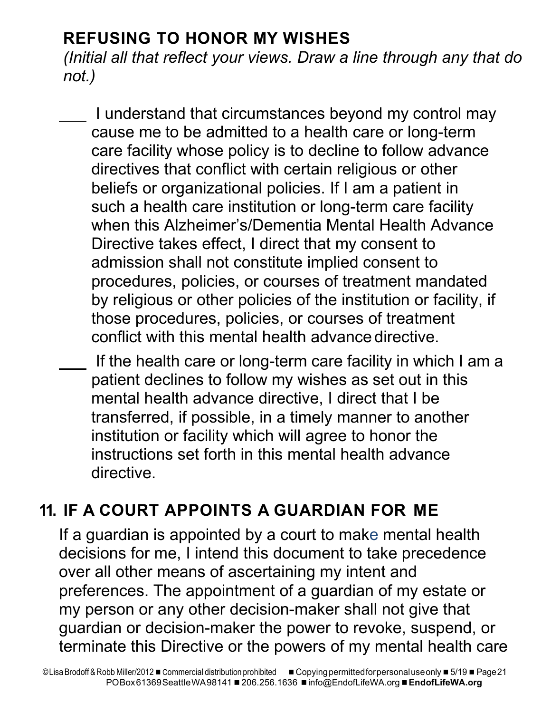# **REFUSING TO HONOR MY WISHES**

*(Initial all that reflect your views. Draw a line through any that do not.)*

 I understand that circumstances beyond my control may cause me to be admitted to a health care or long-term care facility whose policy is to decline to follow advance directives that conflict with certain religious or other beliefs or organizational policies. If I am a patient in such a health care institution or long-term care facility when this Alzheimer's/Dementia Mental Health Advance Directive takes effect, I direct that my consent to admission shall not constitute implied consent to procedures, policies, or courses of treatment mandated by religious or other policies of the institution or facility, if those procedures, policies, or courses of treatment conflict with this mental health advance directive.

 If the health care or long-term care facility in which I am a patient declines to follow my wishes as set out in this mental health advance directive, I direct that I be transferred, if possible, in a timely manner to another institution or facility which will agree to honor the instructions set forth in this mental health advance directive.

# **11. IF A COURT APPOINTS A GUARDIAN FOR ME**

If a guardian is appointed by a court to make mental health decisions for me, I intend this document to take precedence over all other means of ascertaining my intent and preferences. The appointment of a guardian of my estate or my person or any other decision-maker shall not give that guardian or decision-maker the power to revoke, suspend, or terminate this Directive or the powers of my mental health care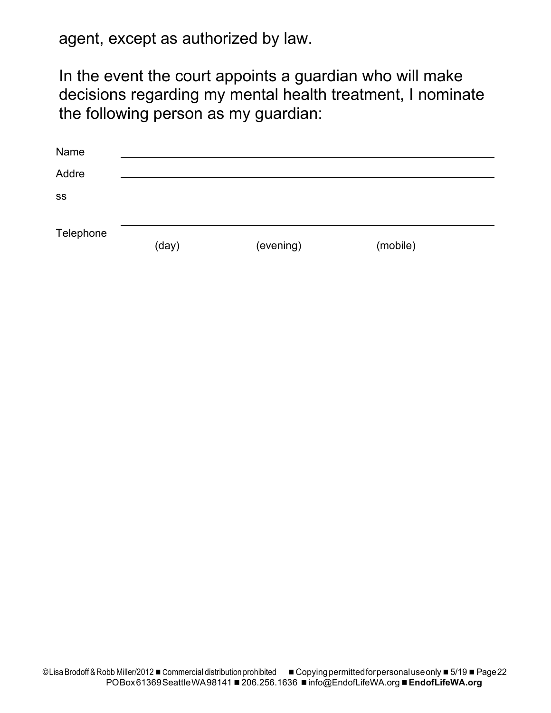agent, except as authorized by law.

In the event the court appoints a guardian who will make decisions regarding my mental health treatment, I nominate the following person as my guardian:

| Name      |       |           |          |  |
|-----------|-------|-----------|----------|--|
| Addre     |       |           |          |  |
| SS        |       |           |          |  |
| Telephone | (day) | (evening) | (mobile) |  |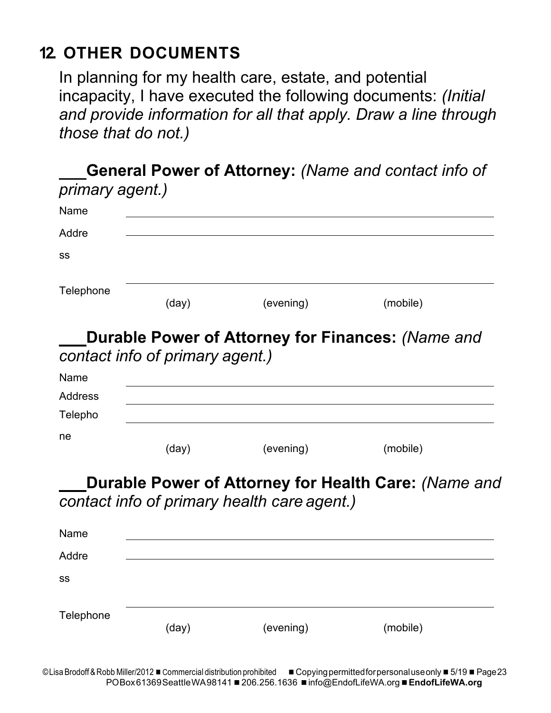# **12. OTHER DOCUMENTS**

In planning for my health care, estate, and potential incapacity, I have executed the following documents: *(Initial and provide information for all that apply. Draw a line through those that do not.)*

 **General Power of Attorney:** *(Name and contact info of primary agent.)*

| Name<br>Addre  |                                 |                                                                                                     |          |  |
|----------------|---------------------------------|-----------------------------------------------------------------------------------------------------|----------|--|
| SS             |                                 |                                                                                                     |          |  |
| Telephone      | (day)                           | (evening)                                                                                           | (mobile) |  |
|                | contact info of primary agent.) | <b>Durable Power of Attorney for Finances: (Name and</b>                                            |          |  |
| Name           |                                 |                                                                                                     |          |  |
| <b>Address</b> |                                 |                                                                                                     |          |  |
| Telepho        |                                 |                                                                                                     |          |  |
| ne             | (day)                           | (evening)                                                                                           | (mobile) |  |
|                |                                 | Durable Power of Attorney for Health Care: (Name and<br>contact info of primary health care agent.) |          |  |

| Name      |       |           |          |  |
|-----------|-------|-----------|----------|--|
| Addre     |       |           |          |  |
| SS        |       |           |          |  |
| Telephone | (day) | (evening) | (mobile) |  |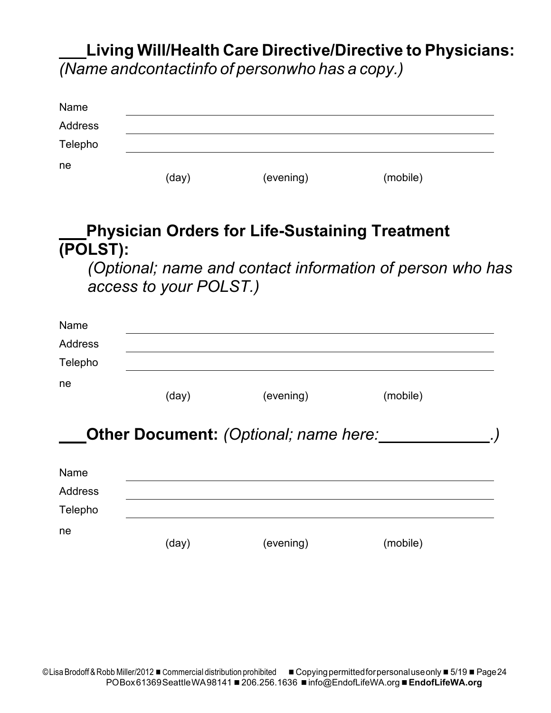#### **Living Will/Health Care Directive/Directive to Physicians:** *(Name andcontactinfo of personwho has a copy.)*

| Name    |       |           |          |  |
|---------|-------|-----------|----------|--|
| Address |       |           |          |  |
| Telepho |       |           |          |  |
| ne      |       |           |          |  |
|         | (day) | (evening) | (mobile) |  |

#### **Physician Orders for Life-Sustaining Treatment (POLST):**

*(Optional; name and contact information of person who has access to your POLST.)*

| Name           |       |                                       |          |  |
|----------------|-------|---------------------------------------|----------|--|
| <b>Address</b> |       |                                       |          |  |
| Telepho        |       |                                       |          |  |
| ne             | (day) | (evening)                             | (mobile) |  |
|                |       | Other Document: (Optional; name here: |          |  |
| Name           |       |                                       |          |  |
| <b>Address</b> |       |                                       |          |  |
| Telepho        |       |                                       |          |  |
| ne             | (day) | (evening)                             | (mobile) |  |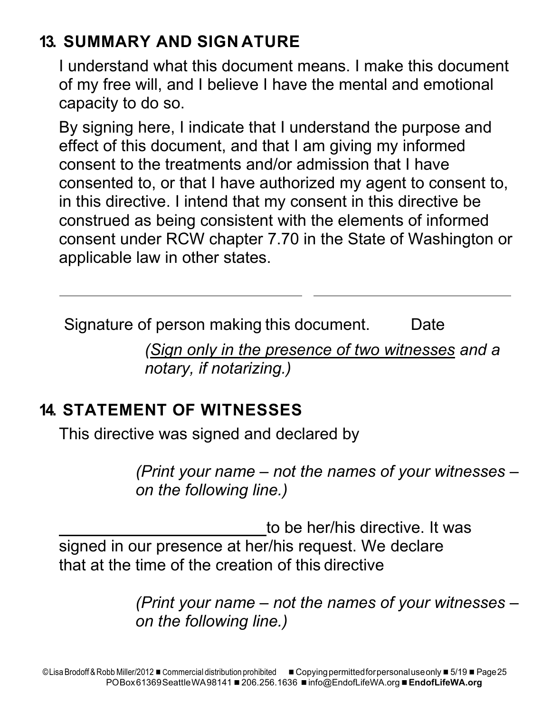# **13. SUMMARY AND SIGN ATURE**

I understand what this document means. I make this document of my free will, and I believe I have the mental and emotional capacity to do so.

By signing here, I indicate that I understand the purpose and effect of this document, and that I am giving my informed consent to the treatments and/or admission that I have consented to, or that I have authorized my agent to consent to, in this directive. I intend that my consent in this directive be construed as being consistent with the elements of informed consent under RCW chapter 7.70 in the State of Washington or applicable law in other states.

Signature of person making this document. Date

*(Sign only in the presence of two witnesses and a notary, if notarizing.)*

# **14. STATEMENT OF WITNESSES**

This directive was signed and declared by

*(Print your name – not the names of your witnesses – on the following line.)*

 to be her/his directive. It was signed in our presence at her/his request. We declare that at the time of the creation of this directive

> *(Print your name – not the names of your witnesses – on the following line.)*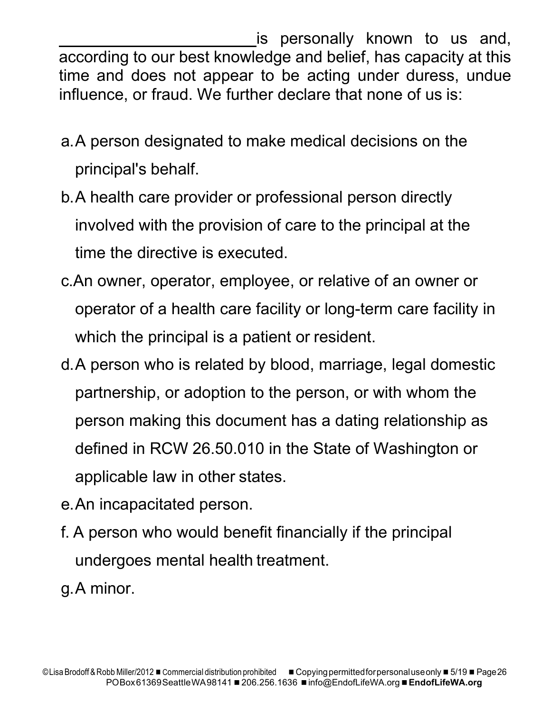is personally known to us and, according to our best knowledge and belief, has capacity at this time and does not appear to be acting under duress, undue influence, or fraud. We further declare that none of us is:

- a.A person designated to make medical decisions on the principal's behalf.
- b.A health care provider or professional person directly involved with the provision of care to the principal at the time the directive is executed.
- c.An owner, operator, employee, or relative of an owner or operator of a health care facility or long-term care facility in which the principal is a patient or resident.
- d.A person who is related by blood, marriage, legal domestic partnership, or adoption to the person, or with whom the person making this document has a dating relationship as defined in RCW 26.50.010 in the State of Washington or applicable law in other states.
- e.An incapacitated person.
- f. A person who would benefit financially if the principal undergoes mental health treatment.
- g.A minor.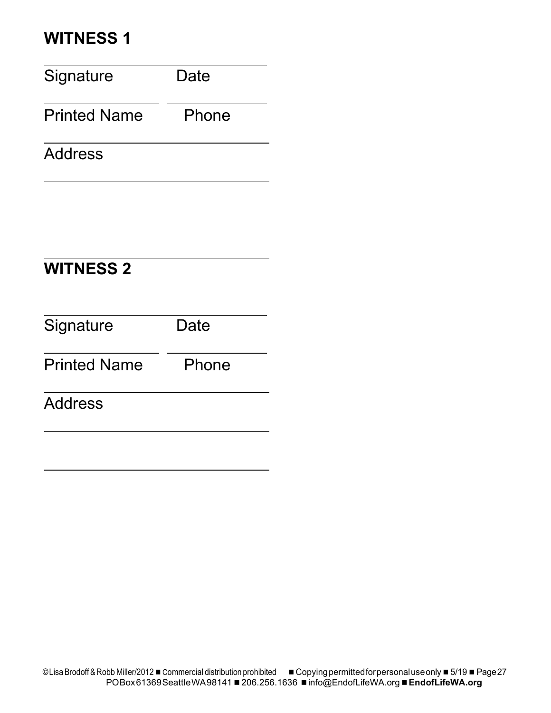## **WITNESS 1**

| Signature           | Date  |  |
|---------------------|-------|--|
| <b>Printed Name</b> | Phone |  |
| <b>Address</b>      |       |  |
|                     |       |  |
| <b>WITNESS 2</b>    |       |  |
| Signature           | Date  |  |
| <b>Printed Name</b> | Phone |  |
| <b>Address</b>      |       |  |
|                     |       |  |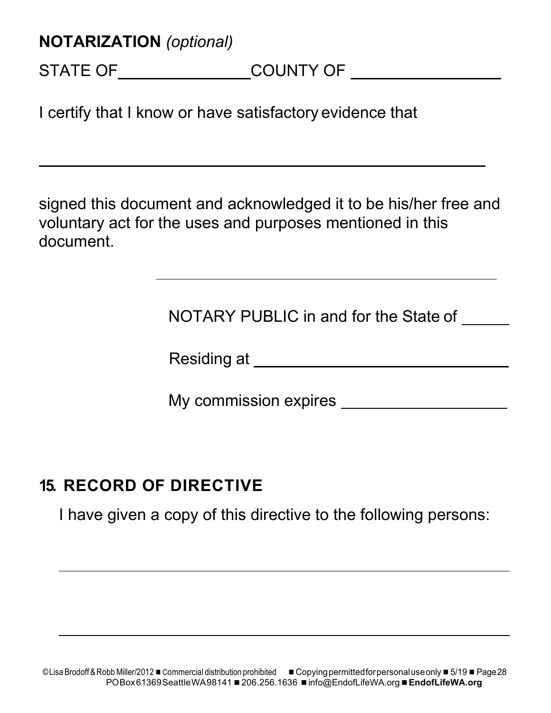#### **NOTARIZATION** *(optional)*

STATE OF GOUNTY OF

I certify that I know or have satisfactory evidence that

signed this document and acknowledged it to be his/her free and voluntary act for the uses and purposes mentioned in this document.

NOTARY PUBLIC in and for the State of

Residing at

My commission expires

# **15. RECORD OF DIRECTIVE**

I have given a copy of this directive to the following persons: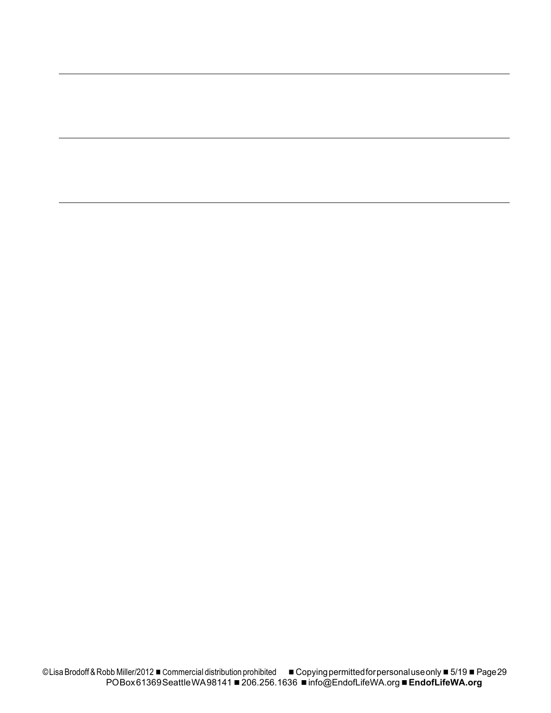©LisaBrodoff& Robb Miller/2012 Commercial distribution prohibited Copyingpermittedforpersonaluseonly 5/19 Page29 POBox61369SeattleWA98141 206.256.1636 [info@EndofLifeWA.org](mailto:info@EndofLifeWA.org) **EndofLifeWA.org**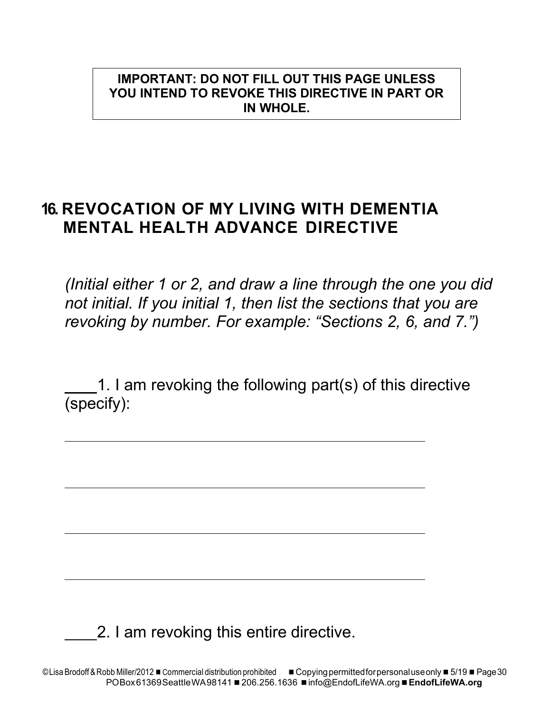#### **IMPORTANT: DO NOT FILL OUT THIS PAGE UNLESS YOU INTEND TO REVOKE THIS DIRECTIVE IN PART OR IN WHOLE.**

# **16. REVOCATION OF MY LIVING WITH DEMENTIA MENTAL HEALTH ADVANCE DIRECTIVE**

*(Initial either 1 or 2, and draw a line through the one you did not initial. If you initial 1, then list the sections that you are revoking by number. For example: "Sections 2, 6, and 7.")*

 1. I am revoking the following part(s) of this directive (specify):

2. I am revoking this entire directive.